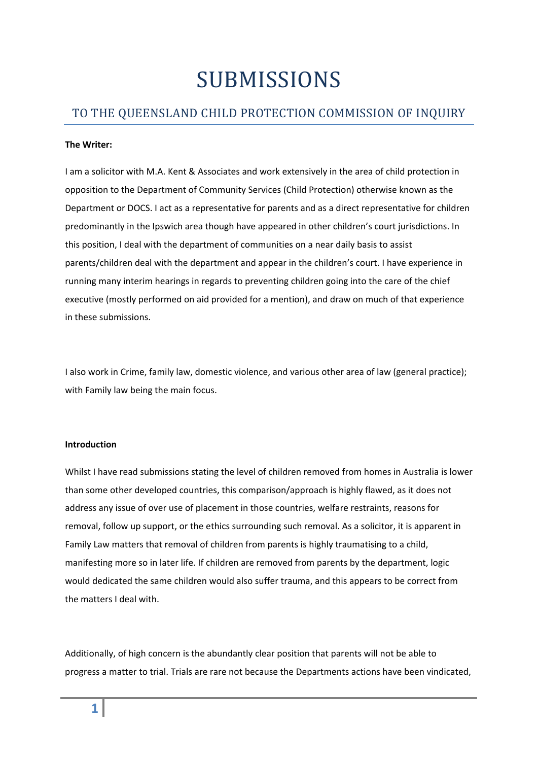# SUBMISSIONS

# TO THE QUEENSLAND CHILD PROTECTION COMMISSION OF INQUIRY

#### **The Writer:**

I am a solicitor with M.A. Kent & Associates and work extensively in the area of child protection in opposition to the Department of Community Services (Child Protection) otherwise known as the Department or DOCS. I act as a representative for parents and as a direct representative for children predominantly in the Ipswich area though have appeared in other children's court jurisdictions. In this position, I deal with the department of communities on a near daily basis to assist parents/children deal with the department and appear in the children's court. I have experience in running many interim hearings in regards to preventing children going into the care of the chief executive (mostly performed on aid provided for a mention), and draw on much of that experience in these submissions.

I also work in Crime, family law, domestic violence, and various other area of law (general practice); with Family law being the main focus.

#### **Introduction**

Whilst I have read submissions stating the level of children removed from homes in Australia is lower than some other developed countries, this comparison/approach is highly flawed, as it does not address any issue of over use of placement in those countries, welfare restraints, reasons for removal, follow up support, or the ethics surrounding such removal. As a solicitor, it is apparent in Family Law matters that removal of children from parents is highly traumatising to a child, manifesting more so in later life. If children are removed from parents by the department, logic would dedicated the same children would also suffer trauma, and this appears to be correct from the matters I deal with.

Additionally, of high concern is the abundantly clear position that parents will not be able to progress a matter to trial. Trials are rare not because the Departments actions have been vindicated,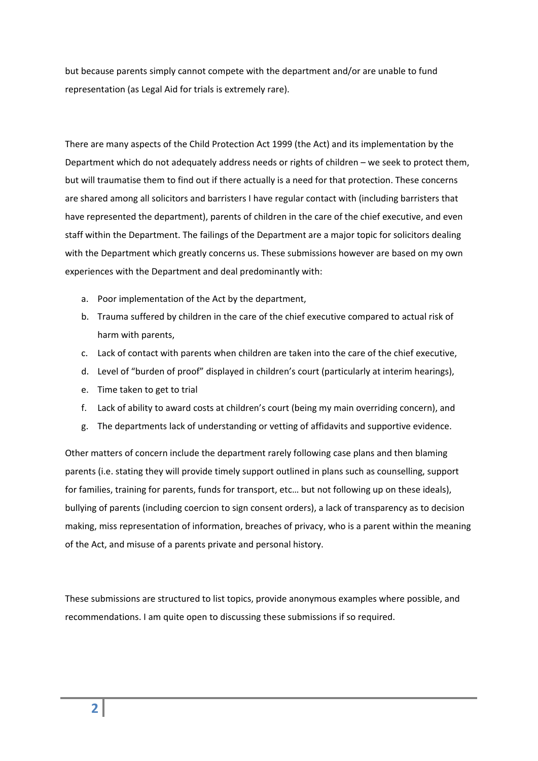but because parents simply cannot compete with the department and/or are unable to fund representation (as Legal Aid for trials is extremely rare).

There are many aspects of the Child Protection Act 1999 (the Act) and its implementation by the Department which do not adequately address needs or rights of children – we seek to protect them, but will traumatise them to find out if there actually is a need for that protection. These concerns are shared among all solicitors and barristers I have regular contact with (including barristers that have represented the department), parents of children in the care of the chief executive, and even staff within the Department. The failings of the Department are a major topic for solicitors dealing with the Department which greatly concerns us. These submissions however are based on my own experiences with the Department and deal predominantly with:

- a. Poor implementation of the Act by the department,
- b. Trauma suffered by children in the care of the chief executive compared to actual risk of harm with parents,
- c. Lack of contact with parents when children are taken into the care of the chief executive,
- d. Level of "burden of proof" displayed in children's court (particularly at interim hearings),
- e. Time taken to get to trial
- f. Lack of ability to award costs at children's court (being my main overriding concern), and
- g. The departments lack of understanding or vetting of affidavits and supportive evidence.

Other matters of concern include the department rarely following case plans and then blaming parents (i.e. stating they will provide timely support outlined in plans such as counselling, support for families, training for parents, funds for transport, etc… but not following up on these ideals), bullying of parents (including coercion to sign consent orders), a lack of transparency as to decision making, miss representation of information, breaches of privacy, who is a parent within the meaning of the Act, and misuse of a parents private and personal history.

These submissions are structured to list topics, provide anonymous examples where possible, and recommendations. I am quite open to discussing these submissions if so required.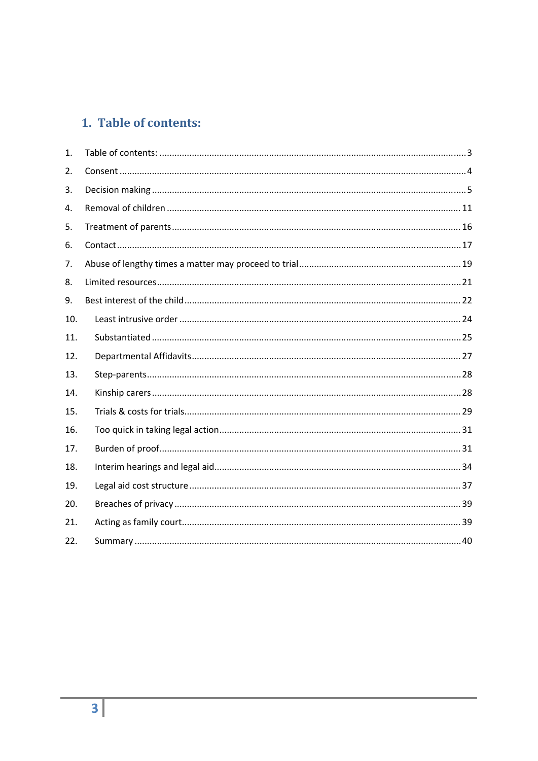# 1. Table of contents:

<span id="page-2-0"></span>

| $\mathbf{1}$ . |  |
|----------------|--|
| 2.             |  |
| 3.             |  |
| 4.             |  |
| 5.             |  |
| 6.             |  |
| 7.             |  |
| 8.             |  |
| 9.             |  |
| 10.            |  |
| 11.            |  |
| 12.            |  |
| 13.            |  |
| 14.            |  |
| 15.            |  |
| 16.            |  |
| 17.            |  |
| 18.            |  |
| 19.            |  |
| 20.            |  |
| 21.            |  |
| 22.            |  |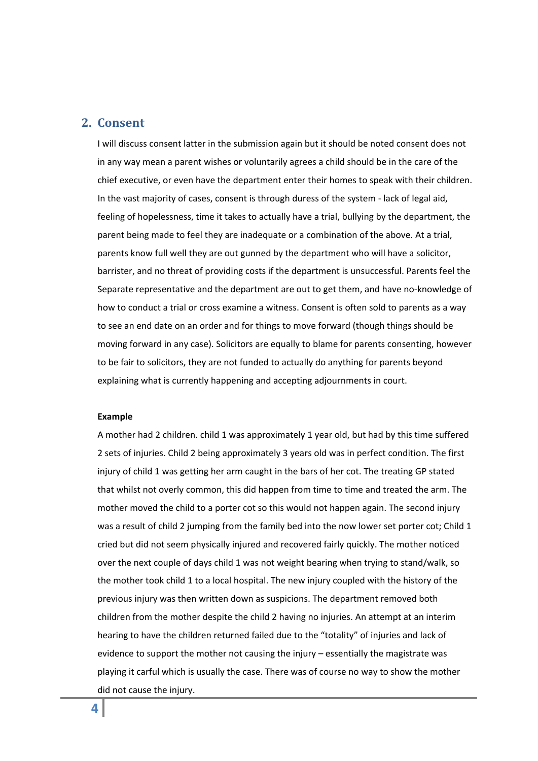### <span id="page-3-0"></span>**2. Consent**

I will discuss consent latter in the submission again but it should be noted consent does not in any way mean a parent wishes or voluntarily agrees a child should be in the care of the chief executive, or even have the department enter their homes to speak with their children. In the vast majority of cases, consent is through duress of the system ‐ lack of legal aid, feeling of hopelessness, time it takes to actually have a trial, bullying by the department, the parent being made to feel they are inadequate or a combination of the above. At a trial, parents know full well they are out gunned by the department who will have a solicitor, barrister, and no threat of providing costs if the department is unsuccessful. Parents feel the Separate representative and the department are out to get them, and have no‐knowledge of how to conduct a trial or cross examine a witness. Consent is often sold to parents as a way to see an end date on an order and for things to move forward (though things should be moving forward in any case). Solicitors are equally to blame for parents consenting, however to be fair to solicitors, they are not funded to actually do anything for parents beyond explaining what is currently happening and accepting adjournments in court.

#### **Example**

A mother had 2 children. child 1 was approximately 1 year old, but had by this time suffered 2 sets of injuries. Child 2 being approximately 3 years old was in perfect condition. The first injury of child 1 was getting her arm caught in the bars of her cot. The treating GP stated that whilst not overly common, this did happen from time to time and treated the arm. The mother moved the child to a porter cot so this would not happen again. The second injury was a result of child 2 jumping from the family bed into the now lower set porter cot; Child 1 cried but did not seem physically injured and recovered fairly quickly. The mother noticed over the next couple of days child 1 was not weight bearing when trying to stand/walk, so the mother took child 1 to a local hospital. The new injury coupled with the history of the previous injury was then written down as suspicions. The department removed both children from the mother despite the child 2 having no injuries. An attempt at an interim hearing to have the children returned failed due to the "totality" of injuries and lack of evidence to support the mother not causing the injury – essentially the magistrate was playing it carful which is usually the case. There was of course no way to show the mother did not cause the injury.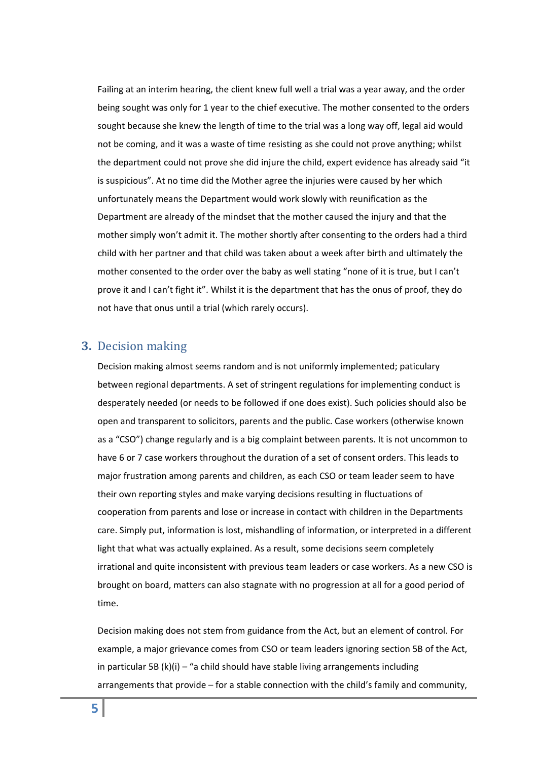Failing at an interim hearing, the client knew full well a trial was a year away, and the order being sought was only for 1 year to the chief executive. The mother consented to the orders sought because she knew the length of time to the trial was a long way off, legal aid would not be coming, and it was a waste of time resisting as she could not prove anything; whilst the department could not prove she did injure the child, expert evidence has already said "it is suspicious". At no time did the Mother agree the injuries were caused by her which unfortunately means the Department would work slowly with reunification as the Department are already of the mindset that the mother caused the injury and that the mother simply won't admit it. The mother shortly after consenting to the orders had a third child with her partner and that child was taken about a week after birth and ultimately the mother consented to the order over the baby as well stating "none of it is true, but I can't prove it and I can't fight it". Whilst it is the department that has the onus of proof, they do not have that onus until a trial (which rarely occurs).

### <span id="page-4-0"></span>**3.** Decision making

Decision making almost seems random and is not uniformly implemented; paticulary between regional departments. A set of stringent regulations for implementing conduct is desperately needed (or needs to be followed if one does exist). Such policies should also be open and transparent to solicitors, parents and the public. Case workers (otherwise known as a "CSO") change regularly and is a big complaint between parents. It is not uncommon to have 6 or 7 case workers throughout the duration of a set of consent orders. This leads to major frustration among parents and children, as each CSO or team leader seem to have their own reporting styles and make varying decisions resulting in fluctuations of cooperation from parents and lose or increase in contact with children in the Departments care. Simply put, information is lost, mishandling of information, or interpreted in a different light that what was actually explained. As a result, some decisions seem completely irrational and quite inconsistent with previous team leaders or case workers. As a new CSO is brought on board, matters can also stagnate with no progression at all for a good period of time.

Decision making does not stem from guidance from the Act, but an element of control. For example, a major grievance comes from CSO or team leaders ignoring section 5B of the Act, in particular 5B (k)(i) – "a child should have stable living arrangements including arrangements that provide – for a stable connection with the child's family and community,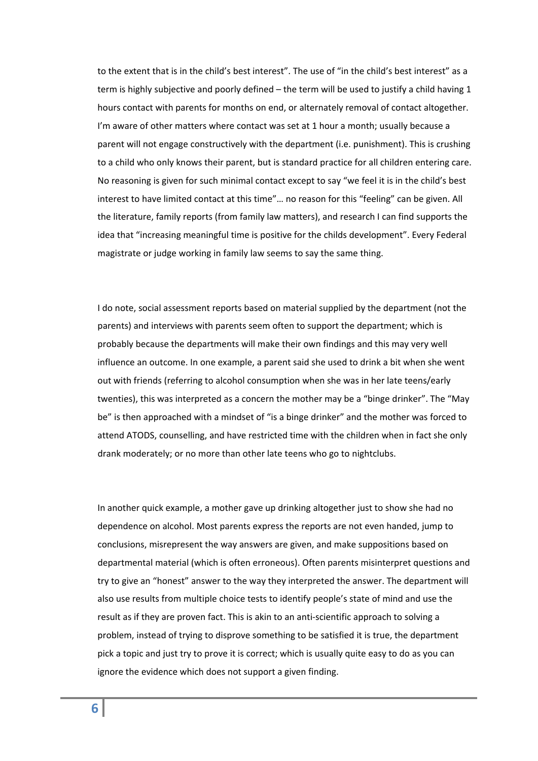to the extent that is in the child's best interest". The use of "in the child's best interest" as a term is highly subjective and poorly defined – the term will be used to justify a child having 1 hours contact with parents for months on end, or alternately removal of contact altogether. I'm aware of other matters where contact was set at 1 hour a month; usually because a parent will not engage constructively with the department (i.e. punishment). This is crushing to a child who only knows their parent, but is standard practice for all children entering care. No reasoning is given for such minimal contact except to say "we feel it is in the child's best interest to have limited contact at this time"… no reason for this "feeling" can be given. All the literature, family reports (from family law matters), and research I can find supports the idea that "increasing meaningful time is positive for the childs development". Every Federal magistrate or judge working in family law seems to say the same thing.

I do note, social assessment reports based on material supplied by the department (not the parents) and interviews with parents seem often to support the department; which is probably because the departments will make their own findings and this may very well influence an outcome. In one example, a parent said she used to drink a bit when she went out with friends (referring to alcohol consumption when she was in her late teens/early twenties), this was interpreted as a concern the mother may be a "binge drinker". The "May be" is then approached with a mindset of "is a binge drinker" and the mother was forced to attend ATODS, counselling, and have restricted time with the children when in fact she only drank moderately; or no more than other late teens who go to nightclubs.

In another quick example, a mother gave up drinking altogether just to show she had no dependence on alcohol. Most parents express the reports are not even handed, jump to conclusions, misrepresent the way answers are given, and make suppositions based on departmental material (which is often erroneous). Often parents misinterpret questions and try to give an "honest" answer to the way they interpreted the answer. The department will also use results from multiple choice tests to identify people's state of mind and use the result as if they are proven fact. This is akin to an anti‐scientific approach to solving a problem, instead of trying to disprove something to be satisfied it is true, the department pick a topic and just try to prove it is correct; which is usually quite easy to do as you can ignore the evidence which does not support a given finding.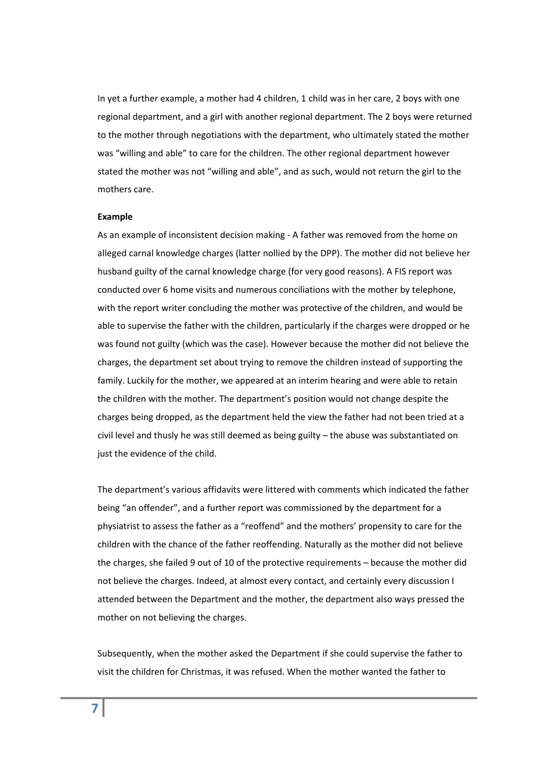In yet a further example, a mother had 4 children, 1 child was in her care, 2 boys with one regional department, and a girl with another regional department. The 2 boys were returned to the mother through negotiations with the department, who ultimately stated the mother was "willing and able" to care for the children. The other regional department however stated the mother was not "willing and able", and as such, would not return the girl to the mothers care.

#### **Example**

As an example of inconsistent decision making ‐ A father was removed from the home on alleged carnal knowledge charges (latter nollied by the DPP). The mother did not believe her husband guilty of the carnal knowledge charge (for very good reasons). A FIS report was conducted over 6 home visits and numerous conciliations with the mother by telephone, with the report writer concluding the mother was protective of the children, and would be able to supervise the father with the children, particularly if the charges were dropped or he was found not guilty (which was the case). However because the mother did not believe the charges, the department set about trying to remove the children instead of supporting the family. Luckily for the mother, we appeared at an interim hearing and were able to retain the children with the mother. The department's position would not change despite the charges being dropped, as the department held the view the father had not been tried at a civil level and thusly he was still deemed as being guilty – the abuse was substantiated on just the evidence of the child.

The department's various affidavits were littered with comments which indicated the father being "an offender", and a further report was commissioned by the department for a physiatrist to assess the father as a "reoffend" and the mothers' propensity to care for the children with the chance of the father reoffending. Naturally as the mother did not believe the charges, she failed 9 out of 10 of the protective requirements – because the mother did not believe the charges. Indeed, at almost every contact, and certainly every discussion I attended between the Department and the mother, the department also ways pressed the mother on not believing the charges.

Subsequently, when the mother asked the Department if she could supervise the father to visit the children for Christmas, it was refused. When the mother wanted the father to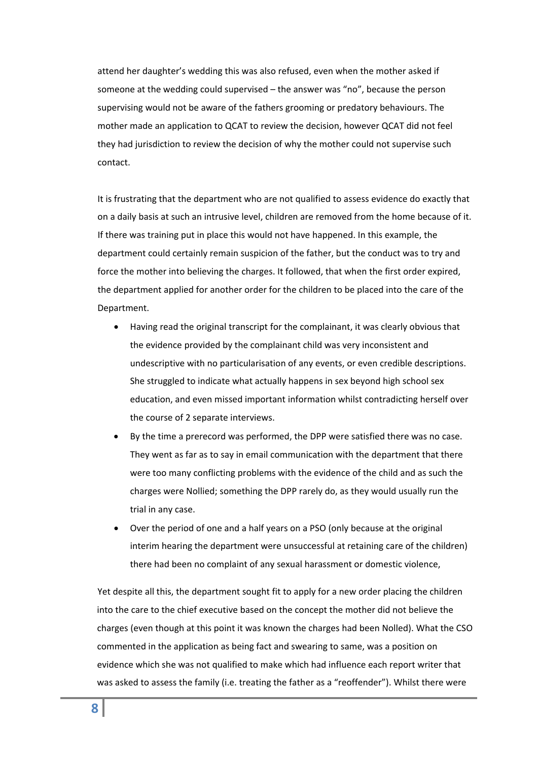attend her daughter's wedding this was also refused, even when the mother asked if someone at the wedding could supervised – the answer was "no", because the person supervising would not be aware of the fathers grooming or predatory behaviours. The mother made an application to QCAT to review the decision, however QCAT did not feel they had jurisdiction to review the decision of why the mother could not supervise such contact.

It is frustrating that the department who are not qualified to assess evidence do exactly that on a daily basis at such an intrusive level, children are removed from the home because of it. If there was training put in place this would not have happened. In this example, the department could certainly remain suspicion of the father, but the conduct was to try and force the mother into believing the charges. It followed, that when the first order expired, the department applied for another order for the children to be placed into the care of the Department.

- Having read the original transcript for the complainant, it was clearly obvious that the evidence provided by the complainant child was very inconsistent and undescriptive with no particularisation of any events, or even credible descriptions. She struggled to indicate what actually happens in sex beyond high school sex education, and even missed important information whilst contradicting herself over the course of 2 separate interviews.
- By the time a prerecord was performed, the DPP were satisfied there was no case. They went as far as to say in email communication with the department that there were too many conflicting problems with the evidence of the child and as such the charges were Nollied; something the DPP rarely do, as they would usually run the trial in any case.
- Over the period of one and a half years on a PSO (only because at the original interim hearing the department were unsuccessful at retaining care of the children) there had been no complaint of any sexual harassment or domestic violence,

Yet despite all this, the department sought fit to apply for a new order placing the children into the care to the chief executive based on the concept the mother did not believe the charges (even though at this point it was known the charges had been Nolled). What the CSO commented in the application as being fact and swearing to same, was a position on evidence which she was not qualified to make which had influence each report writer that was asked to assess the family (i.e. treating the father as a "reoffender"). Whilst there were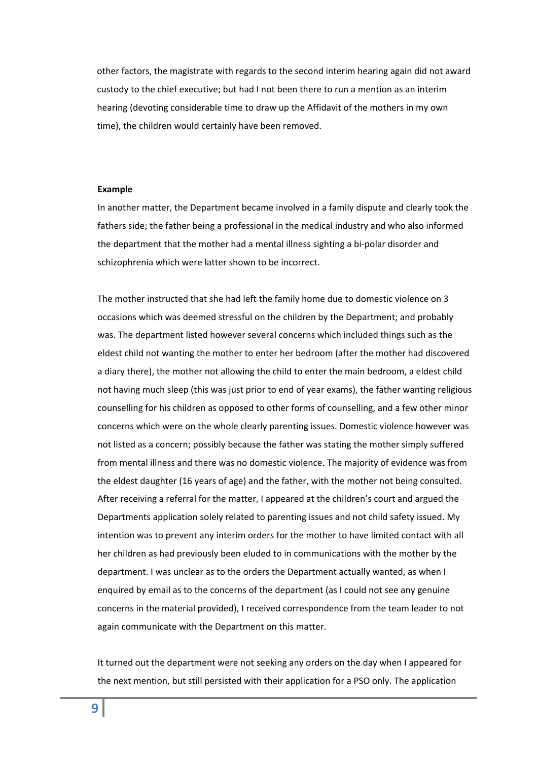other factors, the magistrate with regards to the second interim hearing again did not award custody to the chief executive; but had I not been there to run a mention as an interim hearing (devoting considerable time to draw up the Affidavit of the mothers in my own time), the children would certainly have been removed.

#### **Example**

In another matter, the Department became involved in a family dispute and clearly took the fathers side; the father being a professional in the medical industry and who also informed the department that the mother had a mental illness sighting a bi‐polar disorder and schizophrenia which were latter shown to be incorrect.

The mother instructed that she had left the family home due to domestic violence on 3 occasions which was deemed stressful on the children by the Department; and probably was. The department listed however several concerns which included things such as the eldest child not wanting the mother to enter her bedroom (after the mother had discovered a diary there), the mother not allowing the child to enter the main bedroom, a eldest child not having much sleep (this was just prior to end of year exams), the father wanting religious counselling for his children as opposed to other forms of counselling, and a few other minor concerns which were on the whole clearly parenting issues. Domestic violence however was not listed as a concern; possibly because the father was stating the mother simply suffered from mental illness and there was no domestic violence. The majority of evidence was from the eldest daughter (16 years of age) and the father, with the mother not being consulted. After receiving a referral for the matter, I appeared at the children's court and argued the Departments application solely related to parenting issues and not child safety issued. My intention was to prevent any interim orders for the mother to have limited contact with all her children as had previously been eluded to in communications with the mother by the department. I was unclear as to the orders the Department actually wanted, as when I enquired by email as to the concerns of the department (as I could not see any genuine concerns in the material provided), I received correspondence from the team leader to not again communicate with the Department on this matter.

It turned out the department were not seeking any orders on the day when I appeared for the next mention, but still persisted with their application for a PSO only. The application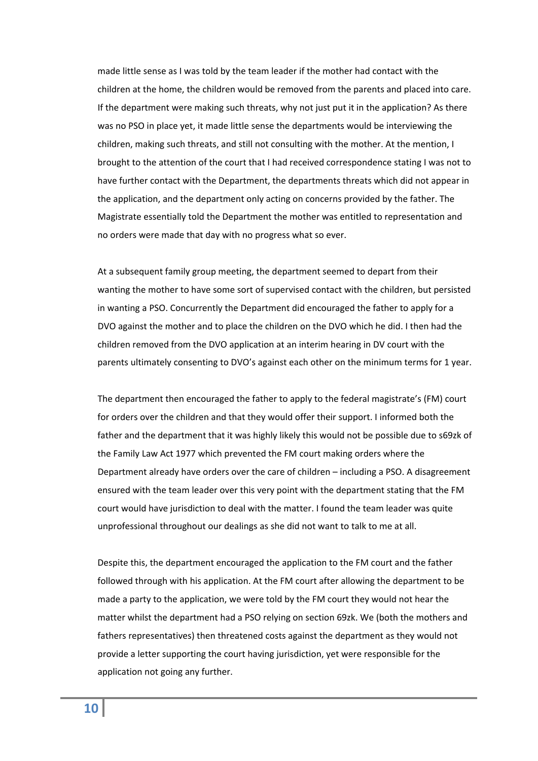made little sense as I was told by the team leader if the mother had contact with the children at the home, the children would be removed from the parents and placed into care. If the department were making such threats, why not just put it in the application? As there was no PSO in place yet, it made little sense the departments would be interviewing the children, making such threats, and still not consulting with the mother. At the mention, I brought to the attention of the court that I had received correspondence stating I was not to have further contact with the Department, the departments threats which did not appear in the application, and the department only acting on concerns provided by the father. The Magistrate essentially told the Department the mother was entitled to representation and no orders were made that day with no progress what so ever.

At a subsequent family group meeting, the department seemed to depart from their wanting the mother to have some sort of supervised contact with the children, but persisted in wanting a PSO. Concurrently the Department did encouraged the father to apply for a DVO against the mother and to place the children on the DVO which he did. I then had the children removed from the DVO application at an interim hearing in DV court with the parents ultimately consenting to DVO's against each other on the minimum terms for 1 year.

The department then encouraged the father to apply to the federal magistrate's (FM) court for orders over the children and that they would offer their support. I informed both the father and the department that it was highly likely this would not be possible due to s69zk of the Family Law Act 1977 which prevented the FM court making orders where the Department already have orders over the care of children – including a PSO. A disagreement ensured with the team leader over this very point with the department stating that the FM court would have jurisdiction to deal with the matter. I found the team leader was quite unprofessional throughout our dealings as she did not want to talk to me at all.

Despite this, the department encouraged the application to the FM court and the father followed through with his application. At the FM court after allowing the department to be made a party to the application, we were told by the FM court they would not hear the matter whilst the department had a PSO relying on section 69zk. We (both the mothers and fathers representatives) then threatened costs against the department as they would not provide a letter supporting the court having jurisdiction, yet were responsible for the application not going any further.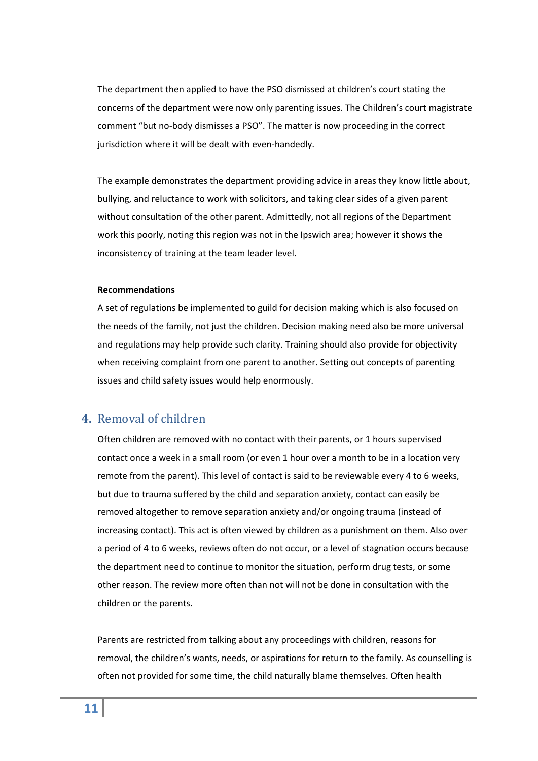The department then applied to have the PSO dismissed at children's court stating the concerns of the department were now only parenting issues. The Children's court magistrate comment "but no‐body dismisses a PSO". The matter is now proceeding in the correct jurisdiction where it will be dealt with even-handedly.

The example demonstrates the department providing advice in areas they know little about, bullying, and reluctance to work with solicitors, and taking clear sides of a given parent without consultation of the other parent. Admittedly, not all regions of the Department work this poorly, noting this region was not in the Ipswich area; however it shows the inconsistency of training at the team leader level.

#### **Recommendations**

A set of regulations be implemented to guild for decision making which is also focused on the needs of the family, not just the children. Decision making need also be more universal and regulations may help provide such clarity. Training should also provide for objectivity when receiving complaint from one parent to another. Setting out concepts of parenting issues and child safety issues would help enormously.

### <span id="page-10-0"></span>**4.** Removal of children

Often children are removed with no contact with their parents, or 1 hours supervised contact once a week in a small room (or even 1 hour over a month to be in a location very remote from the parent). This level of contact is said to be reviewable every 4 to 6 weeks, but due to trauma suffered by the child and separation anxiety, contact can easily be removed altogether to remove separation anxiety and/or ongoing trauma (instead of increasing contact). This act is often viewed by children as a punishment on them. Also over a period of 4 to 6 weeks, reviews often do not occur, or a level of stagnation occurs because the department need to continue to monitor the situation, perform drug tests, or some other reason. The review more often than not will not be done in consultation with the children or the parents.

Parents are restricted from talking about any proceedings with children, reasons for removal, the children's wants, needs, or aspirations for return to the family. As counselling is often not provided for some time, the child naturally blame themselves. Often health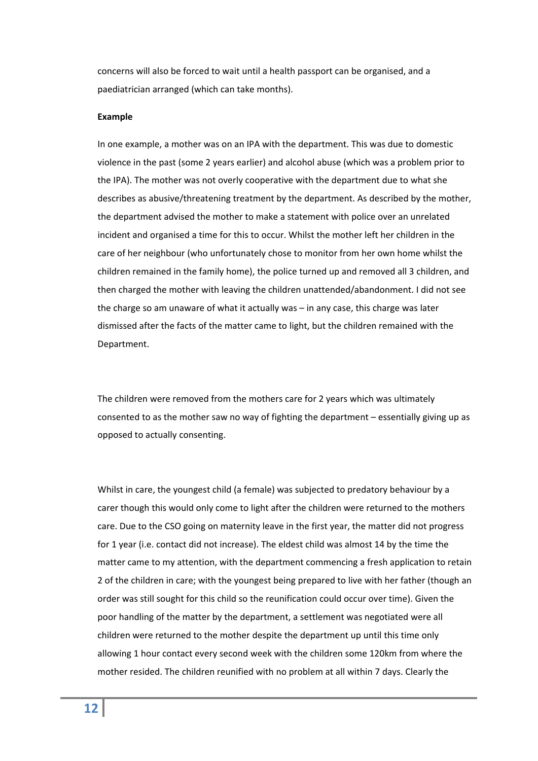concerns will also be forced to wait until a health passport can be organised, and a paediatrician arranged (which can take months).

#### **Example**

In one example, a mother was on an IPA with the department. This was due to domestic violence in the past (some 2 years earlier) and alcohol abuse (which was a problem prior to the IPA). The mother was not overly cooperative with the department due to what she describes as abusive/threatening treatment by the department. As described by the mother, the department advised the mother to make a statement with police over an unrelated incident and organised a time for this to occur. Whilst the mother left her children in the care of her neighbour (who unfortunately chose to monitor from her own home whilst the children remained in the family home), the police turned up and removed all 3 children, and then charged the mother with leaving the children unattended/abandonment. I did not see the charge so am unaware of what it actually was – in any case, this charge was later dismissed after the facts of the matter came to light, but the children remained with the Department.

The children were removed from the mothers care for 2 years which was ultimately consented to as the mother saw no way of fighting the department – essentially giving up as opposed to actually consenting.

Whilst in care, the youngest child (a female) was subjected to predatory behaviour by a carer though this would only come to light after the children were returned to the mothers care. Due to the CSO going on maternity leave in the first year, the matter did not progress for 1 year (i.e. contact did not increase). The eldest child was almost 14 by the time the matter came to my attention, with the department commencing a fresh application to retain 2 of the children in care; with the youngest being prepared to live with her father (though an order was still sought for this child so the reunification could occur over time). Given the poor handling of the matter by the department, a settlement was negotiated were all children were returned to the mother despite the department up until this time only allowing 1 hour contact every second week with the children some 120km from where the mother resided. The children reunified with no problem at all within 7 days. Clearly the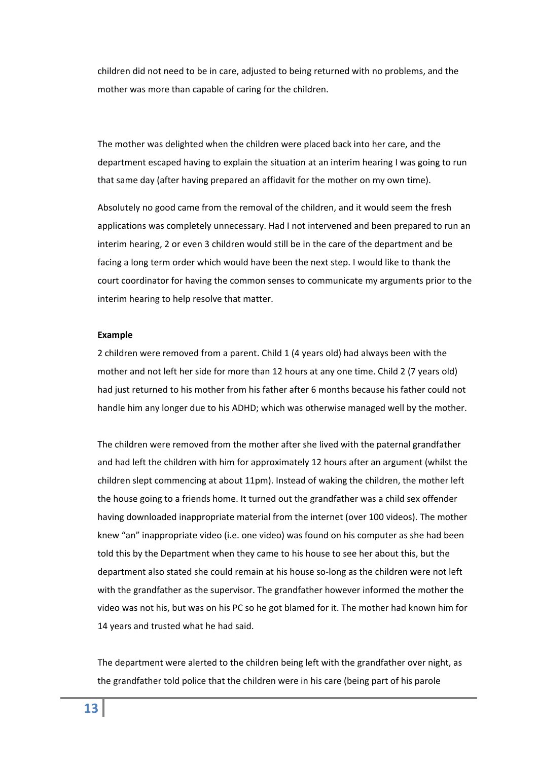children did not need to be in care, adjusted to being returned with no problems, and the mother was more than capable of caring for the children.

The mother was delighted when the children were placed back into her care, and the department escaped having to explain the situation at an interim hearing I was going to run that same day (after having prepared an affidavit for the mother on my own time).

Absolutely no good came from the removal of the children, and it would seem the fresh applications was completely unnecessary. Had I not intervened and been prepared to run an interim hearing, 2 or even 3 children would still be in the care of the department and be facing a long term order which would have been the next step. I would like to thank the court coordinator for having the common senses to communicate my arguments prior to the interim hearing to help resolve that matter.

#### **Example**

2 children were removed from a parent. Child 1 (4 years old) had always been with the mother and not left her side for more than 12 hours at any one time. Child 2 (7 years old) had just returned to his mother from his father after 6 months because his father could not handle him any longer due to his ADHD; which was otherwise managed well by the mother.

The children were removed from the mother after she lived with the paternal grandfather and had left the children with him for approximately 12 hours after an argument (whilst the children slept commencing at about 11pm). Instead of waking the children, the mother left the house going to a friends home. It turned out the grandfather was a child sex offender having downloaded inappropriate material from the internet (over 100 videos). The mother knew "an" inappropriate video (i.e. one video) was found on his computer as she had been told this by the Department when they came to his house to see her about this, but the department also stated she could remain at his house so‐long as the children were not left with the grandfather as the supervisor. The grandfather however informed the mother the video was not his, but was on his PC so he got blamed for it. The mother had known him for 14 years and trusted what he had said.

The department were alerted to the children being left with the grandfather over night, as the grandfather told police that the children were in his care (being part of his parole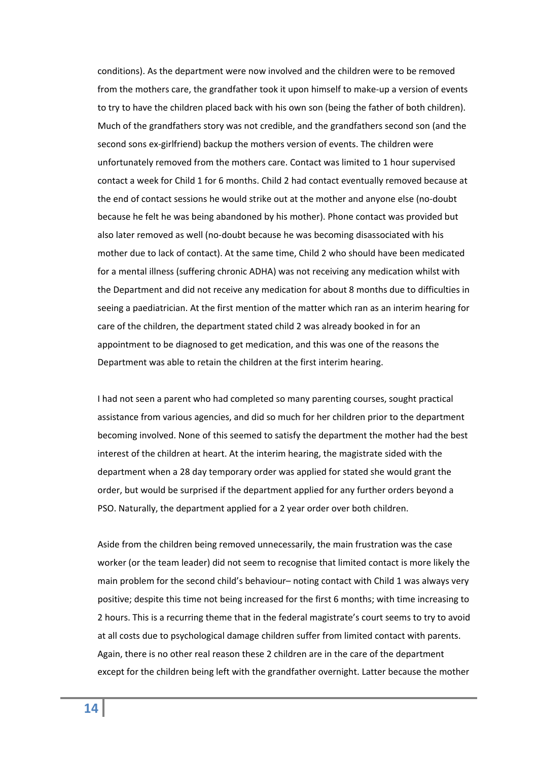conditions). As the department were now involved and the children were to be removed from the mothers care, the grandfather took it upon himself to make-up a version of events to try to have the children placed back with his own son (being the father of both children). Much of the grandfathers story was not credible, and the grandfathers second son (and the second sons ex-girlfriend) backup the mothers version of events. The children were unfortunately removed from the mothers care. Contact was limited to 1 hour supervised contact a week for Child 1 for 6 months. Child 2 had contact eventually removed because at the end of contact sessions he would strike out at the mother and anyone else (no‐doubt because he felt he was being abandoned by his mother). Phone contact was provided but also later removed as well (no‐doubt because he was becoming disassociated with his mother due to lack of contact). At the same time, Child 2 who should have been medicated for a mental illness (suffering chronic ADHA) was not receiving any medication whilst with the Department and did not receive any medication for about 8 months due to difficulties in seeing a paediatrician. At the first mention of the matter which ran as an interim hearing for care of the children, the department stated child 2 was already booked in for an appointment to be diagnosed to get medication, and this was one of the reasons the Department was able to retain the children at the first interim hearing.

I had not seen a parent who had completed so many parenting courses, sought practical assistance from various agencies, and did so much for her children prior to the department becoming involved. None of this seemed to satisfy the department the mother had the best interest of the children at heart. At the interim hearing, the magistrate sided with the department when a 28 day temporary order was applied for stated she would grant the order, but would be surprised if the department applied for any further orders beyond a PSO. Naturally, the department applied for a 2 year order over both children.

Aside from the children being removed unnecessarily, the main frustration was the case worker (or the team leader) did not seem to recognise that limited contact is more likely the main problem for the second child's behaviour– noting contact with Child 1 was always very positive; despite this time not being increased for the first 6 months; with time increasing to 2 hours. This is a recurring theme that in the federal magistrate's court seems to try to avoid at all costs due to psychological damage children suffer from limited contact with parents. Again, there is no other real reason these 2 children are in the care of the department except for the children being left with the grandfather overnight. Latter because the mother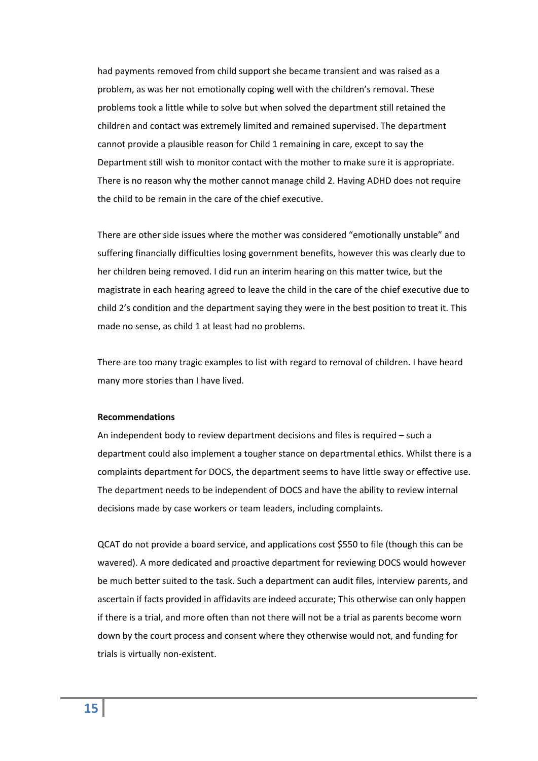had payments removed from child support she became transient and was raised as a problem, as was her not emotionally coping well with the children's removal. These problems took a little while to solve but when solved the department still retained the children and contact was extremely limited and remained supervised. The department cannot provide a plausible reason for Child 1 remaining in care, except to say the Department still wish to monitor contact with the mother to make sure it is appropriate. There is no reason why the mother cannot manage child 2. Having ADHD does not require the child to be remain in the care of the chief executive.

There are other side issues where the mother was considered "emotionally unstable" and suffering financially difficulties losing government benefits, however this was clearly due to her children being removed. I did run an interim hearing on this matter twice, but the magistrate in each hearing agreed to leave the child in the care of the chief executive due to child 2's condition and the department saying they were in the best position to treat it. This made no sense, as child 1 at least had no problems.

There are too many tragic examples to list with regard to removal of children. I have heard many more stories than I have lived.

#### **Recommendations**

An independent body to review department decisions and files is required – such a department could also implement a tougher stance on departmental ethics. Whilst there is a complaints department for DOCS, the department seems to have little sway or effective use. The department needs to be independent of DOCS and have the ability to review internal decisions made by case workers or team leaders, including complaints.

QCAT do not provide a board service, and applications cost \$550 to file (though this can be wavered). A more dedicated and proactive department for reviewing DOCS would however be much better suited to the task. Such a department can audit files, interview parents, and ascertain if facts provided in affidavits are indeed accurate; This otherwise can only happen if there is a trial, and more often than not there will not be a trial as parents become worn down by the court process and consent where they otherwise would not, and funding for trials is virtually non‐existent.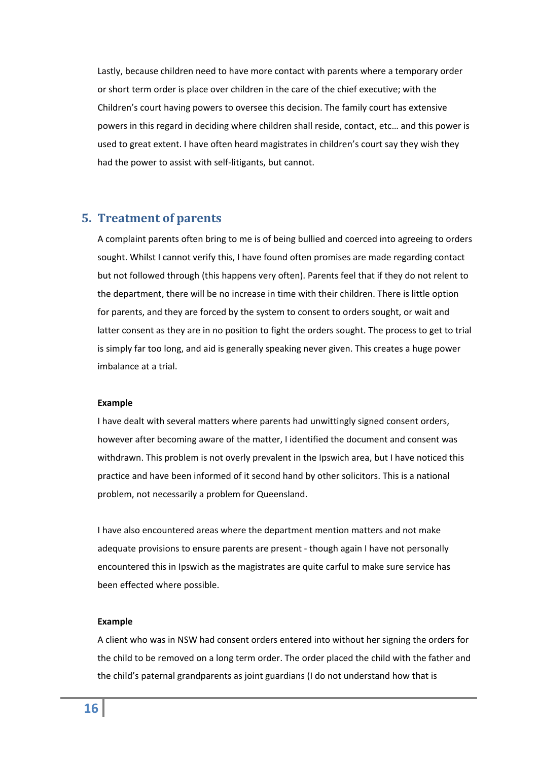Lastly, because children need to have more contact with parents where a temporary order or short term order is place over children in the care of the chief executive; with the Children's court having powers to oversee this decision. The family court has extensive powers in this regard in deciding where children shall reside, contact, etc… and this power is used to great extent. I have often heard magistrates in children's court say they wish they had the power to assist with self-litigants, but cannot.

# <span id="page-15-0"></span>**5. Treatment of parents**

A complaint parents often bring to me is of being bullied and coerced into agreeing to orders sought. Whilst I cannot verify this, I have found often promises are made regarding contact but not followed through (this happens very often). Parents feel that if they do not relent to the department, there will be no increase in time with their children. There is little option for parents, and they are forced by the system to consent to orders sought, or wait and latter consent as they are in no position to fight the orders sought. The process to get to trial is simply far too long, and aid is generally speaking never given. This creates a huge power imbalance at a trial.

#### **Example**

I have dealt with several matters where parents had unwittingly signed consent orders, however after becoming aware of the matter, I identified the document and consent was withdrawn. This problem is not overly prevalent in the Ipswich area, but I have noticed this practice and have been informed of it second hand by other solicitors. This is a national problem, not necessarily a problem for Queensland.

I have also encountered areas where the department mention matters and not make adequate provisions to ensure parents are present ‐ though again I have not personally encountered this in Ipswich as the magistrates are quite carful to make sure service has been effected where possible.

#### **Example**

A client who was in NSW had consent orders entered into without her signing the orders for the child to be removed on a long term order. The order placed the child with the father and the child's paternal grandparents as joint guardians (I do not understand how that is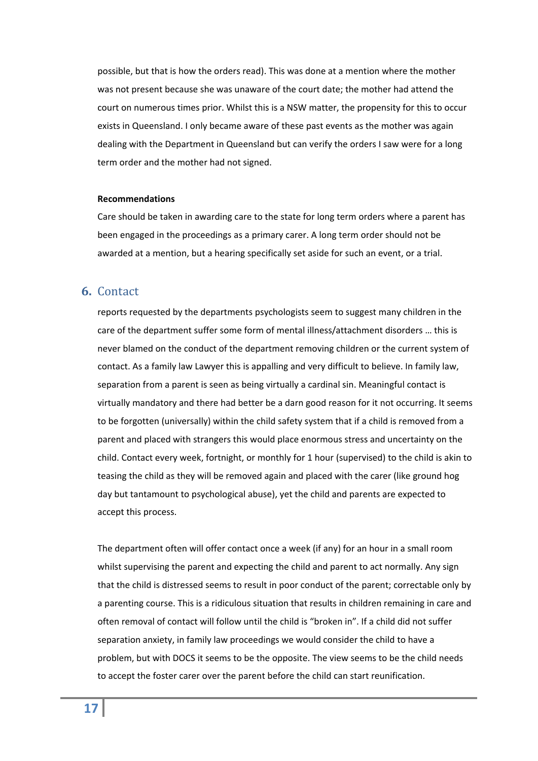possible, but that is how the orders read). This was done at a mention where the mother was not present because she was unaware of the court date; the mother had attend the court on numerous times prior. Whilst this is a NSW matter, the propensity for this to occur exists in Queensland. I only became aware of these past events as the mother was again dealing with the Department in Queensland but can verify the orders I saw were for a long term order and the mother had not signed.

#### **Recommendations**

Care should be taken in awarding care to the state for long term orders where a parent has been engaged in the proceedings as a primary carer. A long term order should not be awarded at a mention, but a hearing specifically set aside for such an event, or a trial.

### <span id="page-16-0"></span>**6.** Contact

reports requested by the departments psychologists seem to suggest many children in the care of the department suffer some form of mental illness/attachment disorders … this is never blamed on the conduct of the department removing children or the current system of contact. As a family law Lawyer this is appalling and very difficult to believe. In family law, separation from a parent is seen as being virtually a cardinal sin. Meaningful contact is virtually mandatory and there had better be a darn good reason for it not occurring. It seems to be forgotten (universally) within the child safety system that if a child is removed from a parent and placed with strangers this would place enormous stress and uncertainty on the child. Contact every week, fortnight, or monthly for 1 hour (supervised) to the child is akin to teasing the child as they will be removed again and placed with the carer (like ground hog day but tantamount to psychological abuse), yet the child and parents are expected to accept this process.

The department often will offer contact once a week (if any) for an hour in a small room whilst supervising the parent and expecting the child and parent to act normally. Any sign that the child is distressed seems to result in poor conduct of the parent; correctable only by a parenting course. This is a ridiculous situation that results in children remaining in care and often removal of contact will follow until the child is "broken in". If a child did not suffer separation anxiety, in family law proceedings we would consider the child to have a problem, but with DOCS it seems to be the opposite. The view seems to be the child needs to accept the foster carer over the parent before the child can start reunification.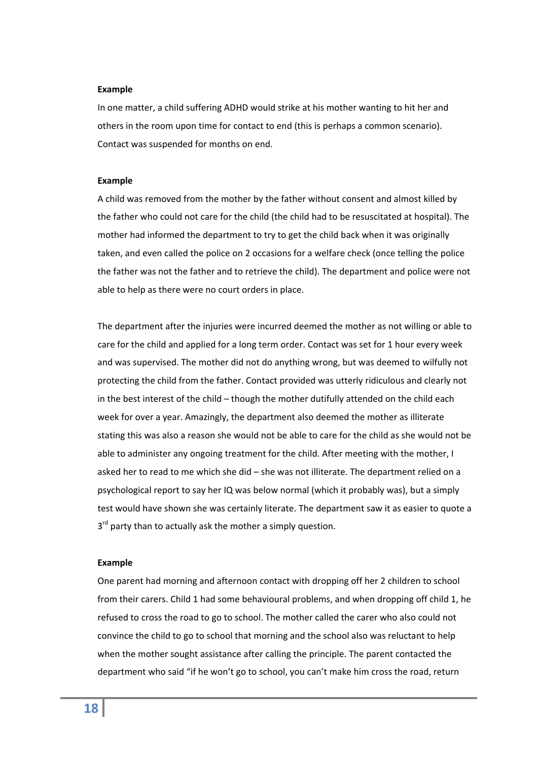#### **Example**

In one matter, a child suffering ADHD would strike at his mother wanting to hit her and others in the room upon time for contact to end (this is perhaps a common scenario). Contact was suspended for months on end.

#### **Example**

A child was removed from the mother by the father without consent and almost killed by the father who could not care for the child (the child had to be resuscitated at hospital). The mother had informed the department to try to get the child back when it was originally taken, and even called the police on 2 occasions for a welfare check (once telling the police the father was not the father and to retrieve the child). The department and police were not able to help as there were no court orders in place.

The department after the injuries were incurred deemed the mother as not willing or able to care for the child and applied for a long term order. Contact was set for 1 hour every week and was supervised. The mother did not do anything wrong, but was deemed to wilfully not protecting the child from the father. Contact provided was utterly ridiculous and clearly not in the best interest of the child – though the mother dutifully attended on the child each week for over a year. Amazingly, the department also deemed the mother as illiterate stating this was also a reason she would not be able to care for the child as she would not be able to administer any ongoing treatment for the child. After meeting with the mother, I asked her to read to me which she did – she was not illiterate. The department relied on a psychological report to say her IQ was below normal (which it probably was), but a simply test would have shown she was certainly literate. The department saw it as easier to quote a  $3<sup>rd</sup>$  party than to actually ask the mother a simply question.

#### **Example**

One parent had morning and afternoon contact with dropping off her 2 children to school from their carers. Child 1 had some behavioural problems, and when dropping off child 1, he refused to cross the road to go to school. The mother called the carer who also could not convince the child to go to school that morning and the school also was reluctant to help when the mother sought assistance after calling the principle. The parent contacted the department who said "if he won't go to school, you can't make him cross the road, return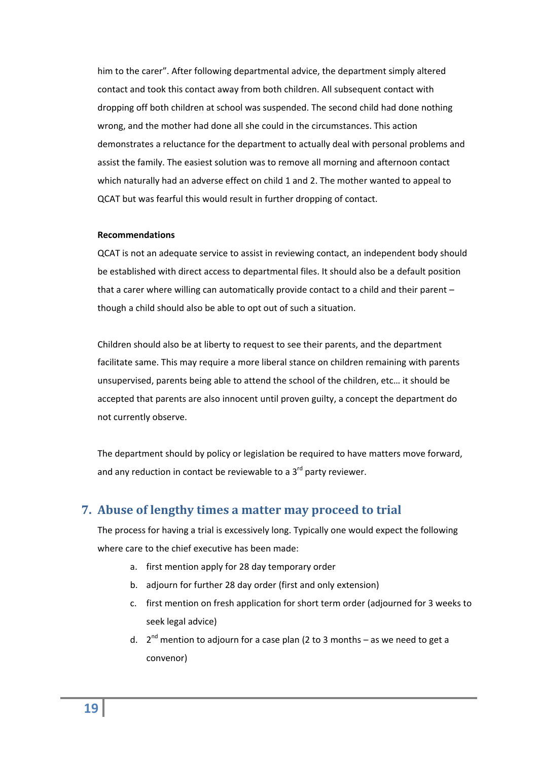him to the carer". After following departmental advice, the department simply altered contact and took this contact away from both children. All subsequent contact with dropping off both children at school was suspended. The second child had done nothing wrong, and the mother had done all she could in the circumstances. This action demonstrates a reluctance for the department to actually deal with personal problems and assist the family. The easiest solution was to remove all morning and afternoon contact which naturally had an adverse effect on child 1 and 2. The mother wanted to appeal to QCAT but was fearful this would result in further dropping of contact.

#### **Recommendations**

QCAT is not an adequate service to assist in reviewing contact, an independent body should be established with direct access to departmental files. It should also be a default position that a carer where willing can automatically provide contact to a child and their parent – though a child should also be able to opt out of such a situation.

Children should also be at liberty to request to see their parents, and the department facilitate same. This may require a more liberal stance on children remaining with parents unsupervised, parents being able to attend the school of the children, etc… it should be accepted that parents are also innocent until proven guilty, a concept the department do not currently observe.

The department should by policy or legislation be required to have matters move forward, and any reduction in contact be reviewable to a  $3<sup>rd</sup>$  party reviewer.

# <span id="page-18-0"></span>**7. Abuse of lengthy times a matter may proceed to trial**

The process for having a trial is excessively long. Typically one would expect the following where care to the chief executive has been made:

- a. first mention apply for 28 day temporary order
- b. adjourn for further 28 day order (first and only extension)
- c. first mention on fresh application for short term order (adjourned for 3 weeks to seek legal advice)
- d.  $2^{nd}$  mention to adjourn for a case plan (2 to 3 months as we need to get a convenor)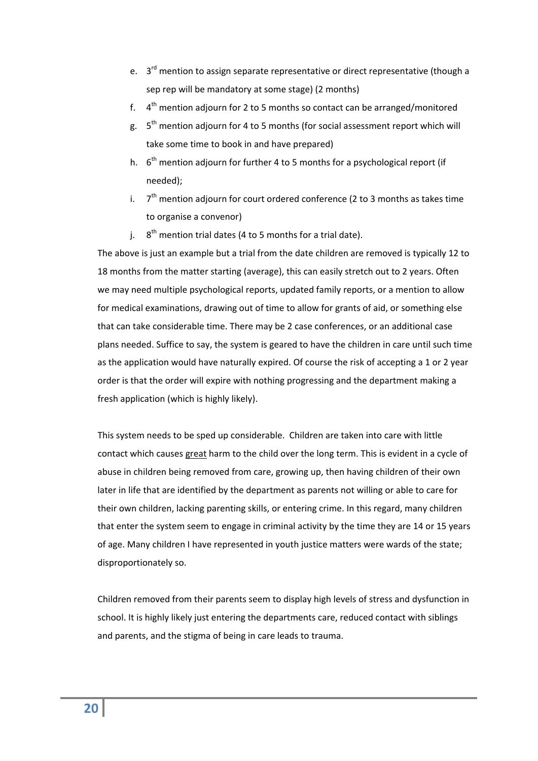- e.  $3^{rd}$  mention to assign separate representative or direct representative (though a sep rep will be mandatory at some stage) (2 months)
- f.  $4<sup>th</sup>$  mention adjourn for 2 to 5 months so contact can be arranged/monitored
- g.  $5<sup>th</sup>$  mention adjourn for 4 to 5 months (for social assessment report which will take some time to book in and have prepared)
- h.  $6<sup>th</sup>$  mention adjourn for further 4 to 5 months for a psychological report (if needed);
- i.  $7<sup>th</sup>$  mention adjourn for court ordered conference (2 to 3 months as takes time to organise a convenor)
- j.  $8<sup>th</sup>$  mention trial dates (4 to 5 months for a trial date).

The above is just an example but a trial from the date children are removed is typically 12 to 18 months from the matter starting (average), this can easily stretch out to 2 years. Often we may need multiple psychological reports, updated family reports, or a mention to allow for medical examinations, drawing out of time to allow for grants of aid, or something else that can take considerable time. There may be 2 case conferences, or an additional case plans needed. Suffice to say, the system is geared to have the children in care until such time as the application would have naturally expired. Of course the risk of accepting a 1 or 2 year order is that the order will expire with nothing progressing and the department making a fresh application (which is highly likely).

This system needs to be sped up considerable. Children are taken into care with little contact which causes great harm to the child over the long term. This is evident in a cycle of abuse in children being removed from care, growing up, then having children of their own later in life that are identified by the department as parents not willing or able to care for their own children, lacking parenting skills, or entering crime. In this regard, many children that enter the system seem to engage in criminal activity by the time they are 14 or 15 years of age. Many children I have represented in youth justice matters were wards of the state; disproportionately so.

Children removed from their parents seem to display high levels of stress and dysfunction in school. It is highly likely just entering the departments care, reduced contact with siblings and parents, and the stigma of being in care leads to trauma.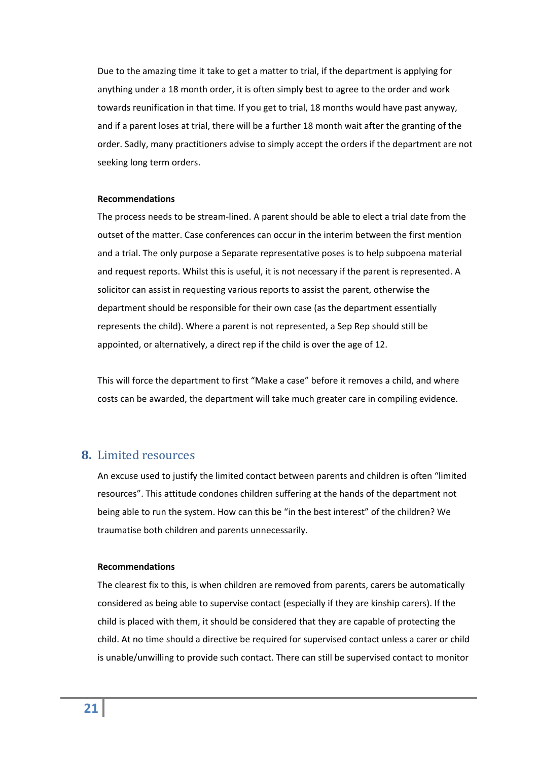Due to the amazing time it take to get a matter to trial, if the department is applying for anything under a 18 month order, it is often simply best to agree to the order and work towards reunification in that time. If you get to trial, 18 months would have past anyway, and if a parent loses at trial, there will be a further 18 month wait after the granting of the order. Sadly, many practitioners advise to simply accept the orders if the department are not seeking long term orders.

#### **Recommendations**

The process needs to be stream‐lined. A parent should be able to elect a trial date from the outset of the matter. Case conferences can occur in the interim between the first mention and a trial. The only purpose a Separate representative poses is to help subpoena material and request reports. Whilst this is useful, it is not necessary if the parent is represented. A solicitor can assist in requesting various reports to assist the parent, otherwise the department should be responsible for their own case (as the department essentially represents the child). Where a parent is not represented, a Sep Rep should still be appointed, or alternatively, a direct rep if the child is over the age of 12.

This will force the department to first "Make a case" before it removes a child, and where costs can be awarded, the department will take much greater care in compiling evidence.

## <span id="page-20-0"></span>**8.** Limited resources

An excuse used to justify the limited contact between parents and children is often "limited resources". This attitude condones children suffering at the hands of the department not being able to run the system. How can this be "in the best interest" of the children? We traumatise both children and parents unnecessarily.

#### **Recommendations**

The clearest fix to this, is when children are removed from parents, carers be automatically considered as being able to supervise contact (especially if they are kinship carers). If the child is placed with them, it should be considered that they are capable of protecting the child. At no time should a directive be required for supervised contact unless a carer or child is unable/unwilling to provide such contact. There can still be supervised contact to monitor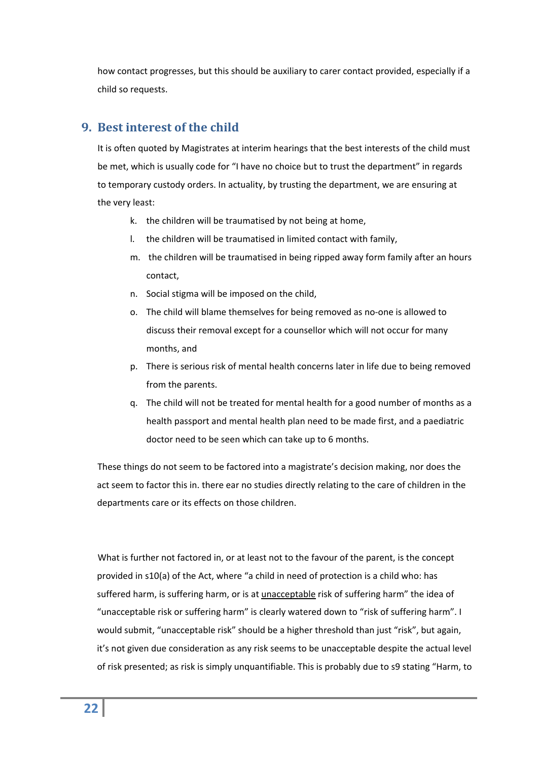how contact progresses, but this should be auxiliary to carer contact provided, especially if a child so requests.

# <span id="page-21-0"></span>**9. Best interest of the child**

It is often quoted by Magistrates at interim hearings that the best interests of the child must be met, which is usually code for "I have no choice but to trust the department" in regards to temporary custody orders. In actuality, by trusting the department, we are ensuring at the very least:

- k. the children will be traumatised by not being at home,
- l. the children will be traumatised in limited contact with family,
- m. the children will be traumatised in being ripped away form family after an hours contact,
- n. Social stigma will be imposed on the child,
- o. The child will blame themselves for being removed as no‐one is allowed to discuss their removal except for a counsellor which will not occur for many months, and
- p. There is serious risk of mental health concerns later in life due to being removed from the parents.
- q. The child will not be treated for mental health for a good number of months as a health passport and mental health plan need to be made first, and a paediatric doctor need to be seen which can take up to 6 months.

These things do not seem to be factored into a magistrate's decision making, nor does the act seem to factor this in. there ear no studies directly relating to the care of children in the departments care or its effects on those children.

What is further not factored in, or at least not to the favour of the parent, is the concept provided in s10(a) of the Act, where "a child in need of protection is a child who: has suffered harm, is suffering harm, or is at unacceptable risk of suffering harm" the idea of "unacceptable risk or suffering harm" is clearly watered down to "risk of suffering harm". I would submit, "unacceptable risk" should be a higher threshold than just "risk", but again, it's not given due consideration as any risk seems to be unacceptable despite the actual level of risk presented; as risk is simply unquantifiable. This is probably due to s9 stating "Harm, to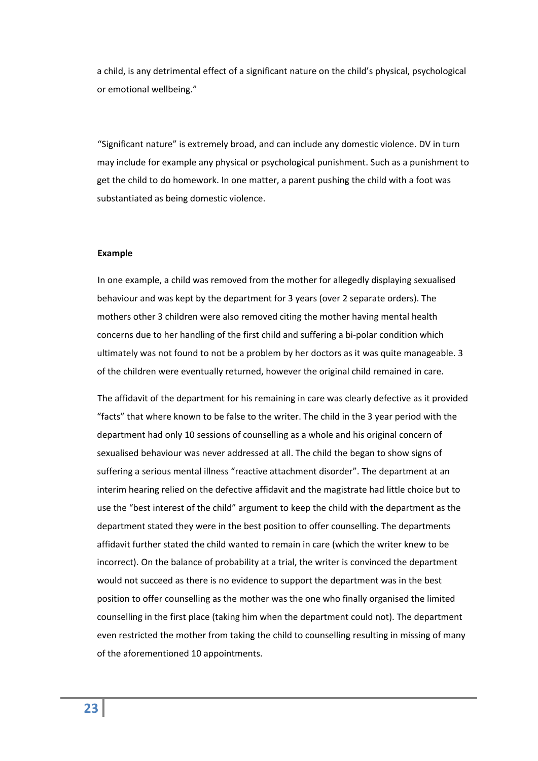a child, is any detrimental effect of a significant nature on the child's physical, psychological or emotional wellbeing."

"Significant nature" is extremely broad, and can include any domestic violence. DV in turn may include for example any physical or psychological punishment. Such as a punishment to get the child to do homework. In one matter, a parent pushing the child with a foot was substantiated as being domestic violence.

#### **Example**

In one example, a child was removed from the mother for allegedly displaying sexualised behaviour and was kept by the department for 3 years (over 2 separate orders). The mothers other 3 children were also removed citing the mother having mental health concerns due to her handling of the first child and suffering a bi‐polar condition which ultimately was not found to not be a problem by her doctors as it was quite manageable. 3 of the children were eventually returned, however the original child remained in care.

The affidavit of the department for his remaining in care was clearly defective as it provided "facts" that where known to be false to the writer. The child in the 3 year period with the department had only 10 sessions of counselling as a whole and his original concern of sexualised behaviour was never addressed at all. The child the began to show signs of suffering a serious mental illness "reactive attachment disorder". The department at an interim hearing relied on the defective affidavit and the magistrate had little choice but to use the "best interest of the child" argument to keep the child with the department as the department stated they were in the best position to offer counselling. The departments affidavit further stated the child wanted to remain in care (which the writer knew to be incorrect). On the balance of probability at a trial, the writer is convinced the department would not succeed as there is no evidence to support the department was in the best position to offer counselling as the mother was the one who finally organised the limited counselling in the first place (taking him when the department could not). The department even restricted the mother from taking the child to counselling resulting in missing of many of the aforementioned 10 appointments.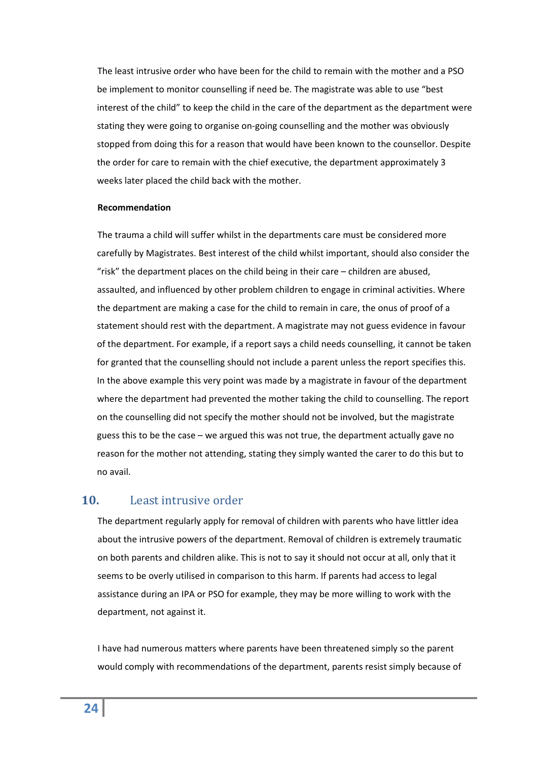The least intrusive order who have been for the child to remain with the mother and a PSO be implement to monitor counselling if need be. The magistrate was able to use "best interest of the child" to keep the child in the care of the department as the department were stating they were going to organise on‐going counselling and the mother was obviously stopped from doing this for a reason that would have been known to the counsellor. Despite the order for care to remain with the chief executive, the department approximately 3 weeks later placed the child back with the mother.

#### **Recommendation**

The trauma a child will suffer whilst in the departments care must be considered more carefully by Magistrates. Best interest of the child whilst important, should also consider the "risk" the department places on the child being in their care – children are abused, assaulted, and influenced by other problem children to engage in criminal activities. Where the department are making a case for the child to remain in care, the onus of proof of a statement should rest with the department. A magistrate may not guess evidence in favour of the department. For example, if a report says a child needs counselling, it cannot be taken for granted that the counselling should not include a parent unless the report specifies this. In the above example this very point was made by a magistrate in favour of the department where the department had prevented the mother taking the child to counselling. The report on the counselling did not specify the mother should not be involved, but the magistrate guess this to be the case – we argued this was not true, the department actually gave no reason for the mother not attending, stating they simply wanted the carer to do this but to no avail.

## <span id="page-23-0"></span>**10.** Least intrusive order

The department regularly apply for removal of children with parents who have littler idea about the intrusive powers of the department. Removal of children is extremely traumatic on both parents and children alike. This is not to say it should not occur at all, only that it seems to be overly utilised in comparison to this harm. If parents had access to legal assistance during an IPA or PSO for example, they may be more willing to work with the department, not against it.

I have had numerous matters where parents have been threatened simply so the parent would comply with recommendations of the department, parents resist simply because of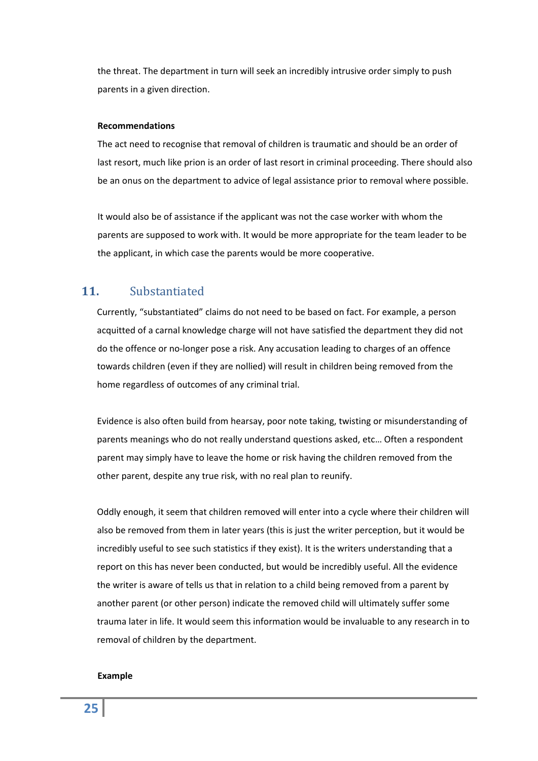the threat. The department in turn will seek an incredibly intrusive order simply to push parents in a given direction.

#### **Recommendations**

The act need to recognise that removal of children is traumatic and should be an order of last resort, much like prion is an order of last resort in criminal proceeding. There should also be an onus on the department to advice of legal assistance prior to removal where possible.

It would also be of assistance if the applicant was not the case worker with whom the parents are supposed to work with. It would be more appropriate for the team leader to be the applicant, in which case the parents would be more cooperative.

# <span id="page-24-0"></span>**11.** Substantiated

Currently, "substantiated" claims do not need to be based on fact. For example, a person acquitted of a carnal knowledge charge will not have satisfied the department they did not do the offence or no‐longer pose a risk. Any accusation leading to charges of an offence towards children (even if they are nollied) will result in children being removed from the home regardless of outcomes of any criminal trial.

Evidence is also often build from hearsay, poor note taking, twisting or misunderstanding of parents meanings who do not really understand questions asked, etc… Often a respondent parent may simply have to leave the home or risk having the children removed from the other parent, despite any true risk, with no real plan to reunify.

Oddly enough, it seem that children removed will enter into a cycle where their children will also be removed from them in later years (this is just the writer perception, but it would be incredibly useful to see such statistics if they exist). It is the writers understanding that a report on this has never been conducted, but would be incredibly useful. All the evidence the writer is aware of tells us that in relation to a child being removed from a parent by another parent (or other person) indicate the removed child will ultimately suffer some trauma later in life. It would seem this information would be invaluable to any research in to removal of children by the department.

#### **Example**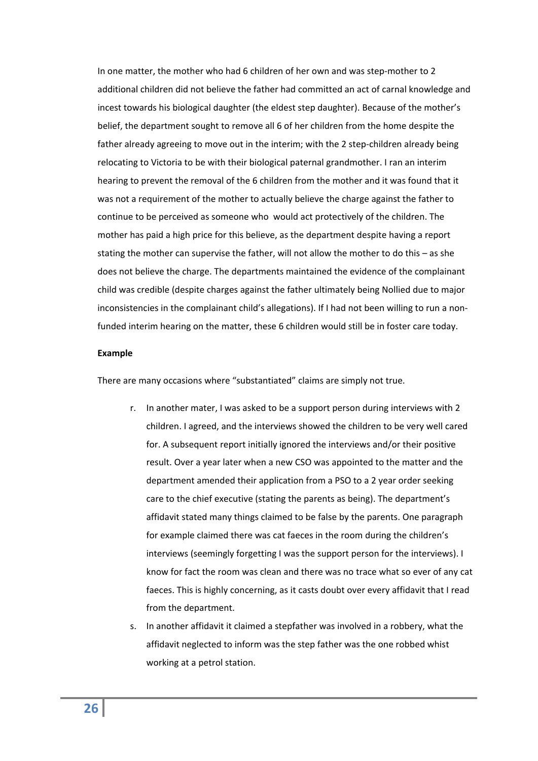In one matter, the mother who had 6 children of her own and was step-mother to 2 additional children did not believe the father had committed an act of carnal knowledge and incest towards his biological daughter (the eldest step daughter). Because of the mother's belief, the department sought to remove all 6 of her children from the home despite the father already agreeing to move out in the interim; with the 2 step-children already being relocating to Victoria to be with their biological paternal grandmother. I ran an interim hearing to prevent the removal of the 6 children from the mother and it was found that it was not a requirement of the mother to actually believe the charge against the father to continue to be perceived as someone who would act protectively of the children. The mother has paid a high price for this believe, as the department despite having a report stating the mother can supervise the father, will not allow the mother to do this – as she does not believe the charge. The departments maintained the evidence of the complainant child was credible (despite charges against the father ultimately being Nollied due to major inconsistencies in the complainant child's allegations). If I had not been willing to run a nonfunded interim hearing on the matter, these 6 children would still be in foster care today.

#### **Example**

There are many occasions where "substantiated" claims are simply not true.

- r. In another mater, I was asked to be a support person during interviews with 2 children. I agreed, and the interviews showed the children to be very well cared for. A subsequent report initially ignored the interviews and/or their positive result. Over a year later when a new CSO was appointed to the matter and the department amended their application from a PSO to a 2 year order seeking care to the chief executive (stating the parents as being). The department's affidavit stated many things claimed to be false by the parents. One paragraph for example claimed there was cat faeces in the room during the children's interviews (seemingly forgetting I was the support person for the interviews). I know for fact the room was clean and there was no trace what so ever of any cat faeces. This is highly concerning, as it casts doubt over every affidavit that I read from the department.
- s. In another affidavit it claimed a stepfather was involved in a robbery, what the affidavit neglected to inform was the step father was the one robbed whist working at a petrol station.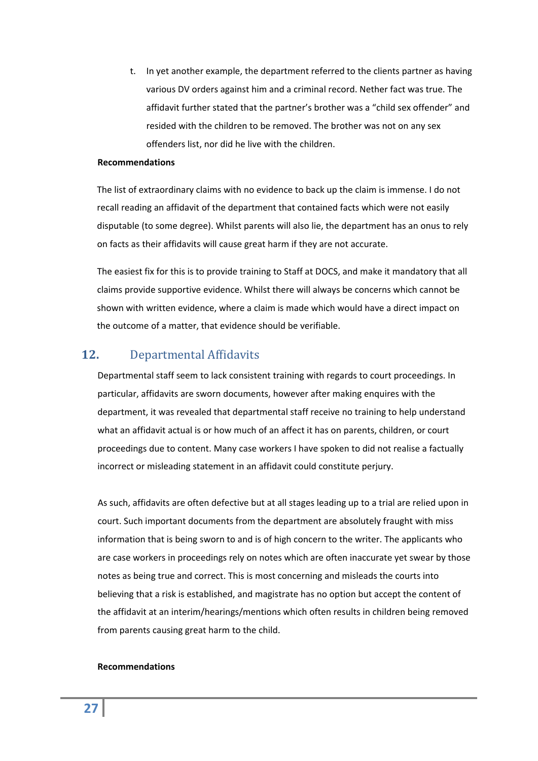t. In yet another example, the department referred to the clients partner as having various DV orders against him and a criminal record. Nether fact was true. The affidavit further stated that the partner's brother was a "child sex offender" and resided with the children to be removed. The brother was not on any sex offenders list, nor did he live with the children.

#### **Recommendations**

The list of extraordinary claims with no evidence to back up the claim is immense. I do not recall reading an affidavit of the department that contained facts which were not easily disputable (to some degree). Whilst parents will also lie, the department has an onus to rely on facts as their affidavits will cause great harm if they are not accurate.

The easiest fix for this is to provide training to Staff at DOCS, and make it mandatory that all claims provide supportive evidence. Whilst there will always be concerns which cannot be shown with written evidence, where a claim is made which would have a direct impact on the outcome of a matter, that evidence should be verifiable.

# <span id="page-26-0"></span>**12.** Departmental Affidavits

Departmental staff seem to lack consistent training with regards to court proceedings. In particular, affidavits are sworn documents, however after making enquires with the department, it was revealed that departmental staff receive no training to help understand what an affidavit actual is or how much of an affect it has on parents, children, or court proceedings due to content. Many case workers I have spoken to did not realise a factually incorrect or misleading statement in an affidavit could constitute perjury.

As such, affidavits are often defective but at all stages leading up to a trial are relied upon in court. Such important documents from the department are absolutely fraught with miss information that is being sworn to and is of high concern to the writer. The applicants who are case workers in proceedings rely on notes which are often inaccurate yet swear by those notes as being true and correct. This is most concerning and misleads the courts into believing that a risk is established, and magistrate has no option but accept the content of the affidavit at an interim/hearings/mentions which often results in children being removed from parents causing great harm to the child.

#### **Recommendations**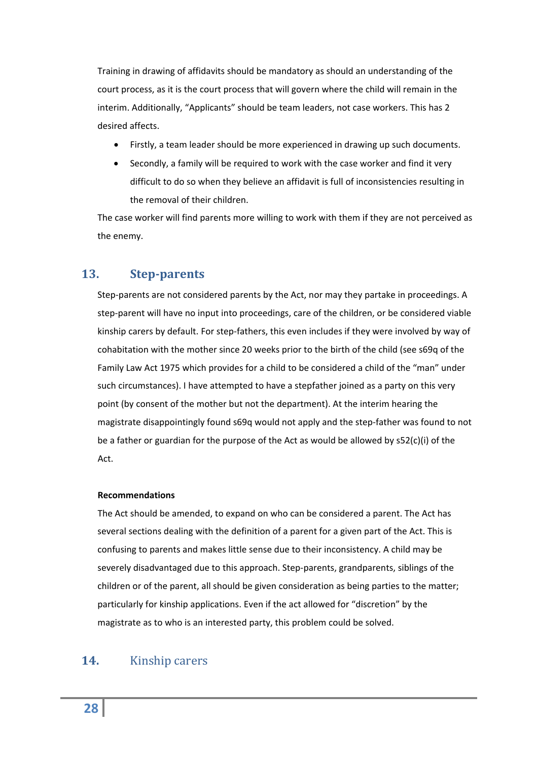Training in drawing of affidavits should be mandatory as should an understanding of the court process, as it is the court process that will govern where the child will remain in the interim. Additionally, "Applicants" should be team leaders, not case workers. This has 2 desired affects.

- Firstly, a team leader should be more experienced in drawing up such documents.
- Secondly, a family will be required to work with the case worker and find it very difficult to do so when they believe an affidavit is full of inconsistencies resulting in the removal of their children.

The case worker will find parents more willing to work with them if they are not perceived as the enemy.

# <span id="page-27-0"></span>**13. Stepparents**

Step-parents are not considered parents by the Act, nor may they partake in proceedings. A step-parent will have no input into proceedings, care of the children, or be considered viable kinship carers by default. For step-fathers, this even includes if they were involved by way of cohabitation with the mother since 20 weeks prior to the birth of the child (see s69q of the Family Law Act 1975 which provides for a child to be considered a child of the "man" under such circumstances). I have attempted to have a stepfather joined as a party on this very point (by consent of the mother but not the department). At the interim hearing the magistrate disappointingly found s69q would not apply and the step‐father was found to not be a father or guardian for the purpose of the Act as would be allowed by s52(c)(i) of the Act.

### **Recommendations**

The Act should be amended, to expand on who can be considered a parent. The Act has several sections dealing with the definition of a parent for a given part of the Act. This is confusing to parents and makes little sense due to their inconsistency. A child may be severely disadvantaged due to this approach. Step‐parents, grandparents, siblings of the children or of the parent, all should be given consideration as being parties to the matter; particularly for kinship applications. Even if the act allowed for "discretion" by the magistrate as to who is an interested party, this problem could be solved.

# <span id="page-27-1"></span>**14.** Kinship carers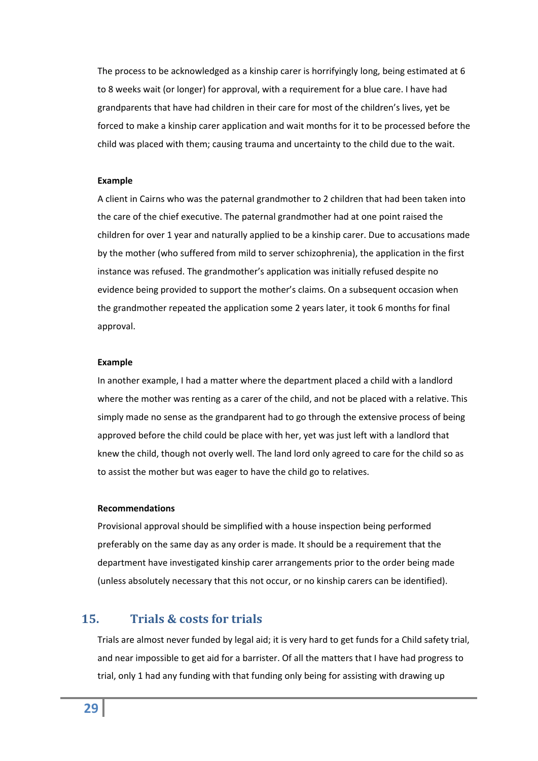The process to be acknowledged as a kinship carer is horrifyingly long, being estimated at 6 to 8 weeks wait (or longer) for approval, with a requirement for a blue care. I have had grandparents that have had children in their care for most of the children's lives, yet be forced to make a kinship carer application and wait months for it to be processed before the child was placed with them; causing trauma and uncertainty to the child due to the wait.

#### **Example**

A client in Cairns who was the paternal grandmother to 2 children that had been taken into the care of the chief executive. The paternal grandmother had at one point raised the children for over 1 year and naturally applied to be a kinship carer. Due to accusations made by the mother (who suffered from mild to server schizophrenia), the application in the first instance was refused. The grandmother's application was initially refused despite no evidence being provided to support the mother's claims. On a subsequent occasion when the grandmother repeated the application some 2 years later, it took 6 months for final approval.

#### **Example**

In another example, I had a matter where the department placed a child with a landlord where the mother was renting as a carer of the child, and not be placed with a relative. This simply made no sense as the grandparent had to go through the extensive process of being approved before the child could be place with her, yet was just left with a landlord that knew the child, though not overly well. The land lord only agreed to care for the child so as to assist the mother but was eager to have the child go to relatives.

#### **Recommendations**

Provisional approval should be simplified with a house inspection being performed preferably on the same day as any order is made. It should be a requirement that the department have investigated kinship carer arrangements prior to the order being made (unless absolutely necessary that this not occur, or no kinship carers can be identified).

# <span id="page-28-0"></span>**15. Trials & costs for trials**

Trials are almost never funded by legal aid; it is very hard to get funds for a Child safety trial, and near impossible to get aid for a barrister. Of all the matters that I have had progress to trial, only 1 had any funding with that funding only being for assisting with drawing up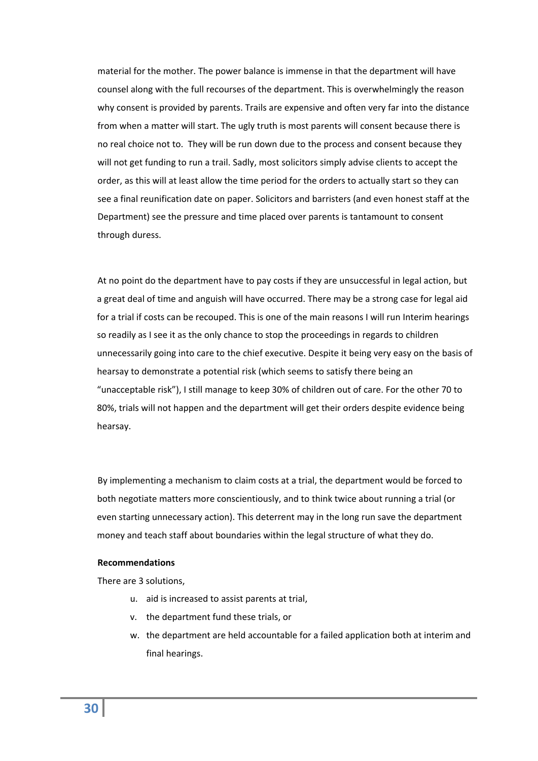material for the mother. The power balance is immense in that the department will have counsel along with the full recourses of the department. This is overwhelmingly the reason why consent is provided by parents. Trails are expensive and often very far into the distance from when a matter will start. The ugly truth is most parents will consent because there is no real choice not to. They will be run down due to the process and consent because they will not get funding to run a trail. Sadly, most solicitors simply advise clients to accept the order, as this will at least allow the time period for the orders to actually start so they can see a final reunification date on paper. Solicitors and barristers (and even honest staff at the Department) see the pressure and time placed over parents is tantamount to consent through duress.

At no point do the department have to pay costs if they are unsuccessful in legal action, but a great deal of time and anguish will have occurred. There may be a strong case for legal aid for a trial if costs can be recouped. This is one of the main reasons I will run Interim hearings so readily as I see it as the only chance to stop the proceedings in regards to children unnecessarily going into care to the chief executive. Despite it being very easy on the basis of hearsay to demonstrate a potential risk (which seems to satisfy there being an "unacceptable risk"), I still manage to keep 30% of children out of care. For the other 70 to 80%, trials will not happen and the department will get their orders despite evidence being hearsay.

By implementing a mechanism to claim costs at a trial, the department would be forced to both negotiate matters more conscientiously, and to think twice about running a trial (or even starting unnecessary action). This deterrent may in the long run save the department money and teach staff about boundaries within the legal structure of what they do.

#### **Recommendations**

There are 3 solutions,

- u. aid is increased to assist parents at trial,
- v. the department fund these trials, or
- w. the department are held accountable for a failed application both at interim and final hearings.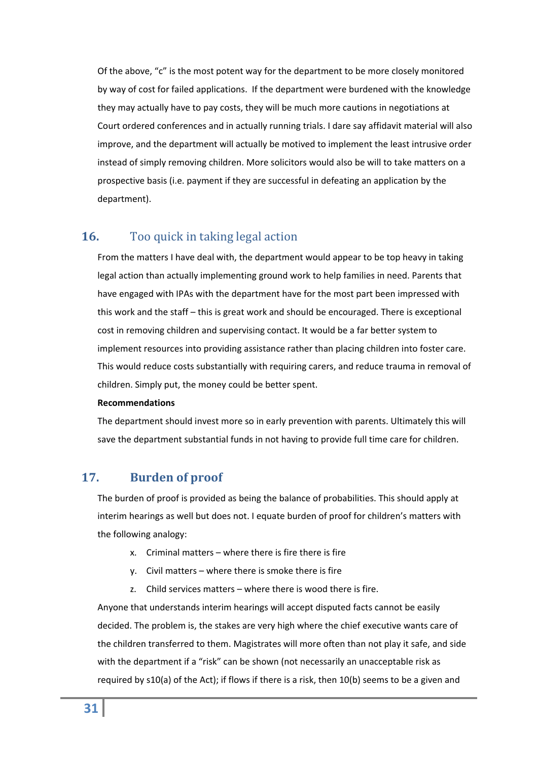Of the above, "c" is the most potent way for the department to be more closely monitored by way of cost for failed applications. If the department were burdened with the knowledge they may actually have to pay costs, they will be much more cautions in negotiations at Court ordered conferences and in actually running trials. I dare say affidavit material will also improve, and the department will actually be motived to implement the least intrusive order instead of simply removing children. More solicitors would also be will to take matters on a prospective basis (i.e. payment if they are successful in defeating an application by the department).

# <span id="page-30-0"></span>**16.** Too quick in taking legal action

From the matters I have deal with, the department would appear to be top heavy in taking legal action than actually implementing ground work to help families in need. Parents that have engaged with IPAs with the department have for the most part been impressed with this work and the staff – this is great work and should be encouraged. There is exceptional cost in removing children and supervising contact. It would be a far better system to implement resources into providing assistance rather than placing children into foster care. This would reduce costs substantially with requiring carers, and reduce trauma in removal of children. Simply put, the money could be better spent.

#### **Recommendations**

The department should invest more so in early prevention with parents. Ultimately this will save the department substantial funds in not having to provide full time care for children.

# <span id="page-30-1"></span>**17. Burden of proof**

The burden of proof is provided as being the balance of probabilities. This should apply at interim hearings as well but does not. I equate burden of proof for children's matters with the following analogy:

- x. Criminal matters where there is fire there is fire
- y. Civil matters where there is smoke there is fire
- z. Child services matters where there is wood there is fire.

Anyone that understands interim hearings will accept disputed facts cannot be easily decided. The problem is, the stakes are very high where the chief executive wants care of the children transferred to them. Magistrates will more often than not play it safe, and side with the department if a "risk" can be shown (not necessarily an unacceptable risk as required by s10(a) of the Act); if flows if there is a risk, then 10(b) seems to be a given and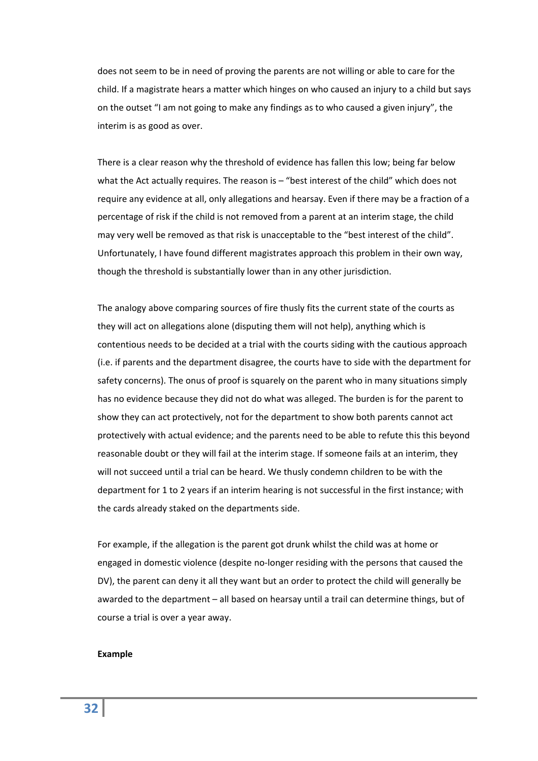does not seem to be in need of proving the parents are not willing or able to care for the child. If a magistrate hears a matter which hinges on who caused an injury to a child but says on the outset "I am not going to make any findings as to who caused a given injury", the interim is as good as over.

There is a clear reason why the threshold of evidence has fallen this low; being far below what the Act actually requires. The reason is – "best interest of the child" which does not require any evidence at all, only allegations and hearsay. Even if there may be a fraction of a percentage of risk if the child is not removed from a parent at an interim stage, the child may very well be removed as that risk is unacceptable to the "best interest of the child". Unfortunately, I have found different magistrates approach this problem in their own way, though the threshold is substantially lower than in any other jurisdiction.

The analogy above comparing sources of fire thusly fits the current state of the courts as they will act on allegations alone (disputing them will not help), anything which is contentious needs to be decided at a trial with the courts siding with the cautious approach (i.e. if parents and the department disagree, the courts have to side with the department for safety concerns). The onus of proof is squarely on the parent who in many situations simply has no evidence because they did not do what was alleged. The burden is for the parent to show they can act protectively, not for the department to show both parents cannot act protectively with actual evidence; and the parents need to be able to refute this this beyond reasonable doubt or they will fail at the interim stage. If someone fails at an interim, they will not succeed until a trial can be heard. We thusly condemn children to be with the department for 1 to 2 years if an interim hearing is not successful in the first instance; with the cards already staked on the departments side.

For example, if the allegation is the parent got drunk whilst the child was at home or engaged in domestic violence (despite no‐longer residing with the persons that caused the DV), the parent can deny it all they want but an order to protect the child will generally be awarded to the department – all based on hearsay until a trail can determine things, but of course a trial is over a year away.

#### **Example**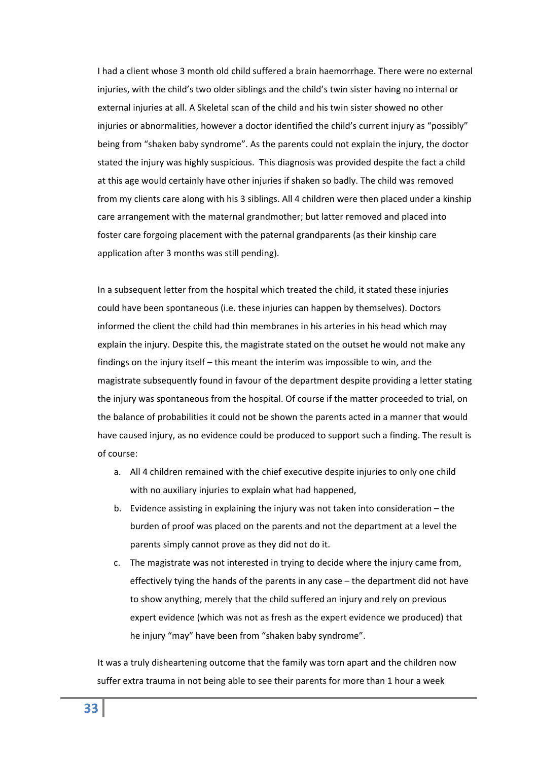I had a client whose 3 month old child suffered a brain haemorrhage. There were no external injuries, with the child's two older siblings and the child's twin sister having no internal or external injuries at all. A Skeletal scan of the child and his twin sister showed no other injuries or abnormalities, however a doctor identified the child's current injury as "possibly" being from "shaken baby syndrome". As the parents could not explain the injury, the doctor stated the injury was highly suspicious. This diagnosis was provided despite the fact a child at this age would certainly have other injuries if shaken so badly. The child was removed from my clients care along with his 3 siblings. All 4 children were then placed under a kinship care arrangement with the maternal grandmother; but latter removed and placed into foster care forgoing placement with the paternal grandparents (as their kinship care application after 3 months was still pending).

In a subsequent letter from the hospital which treated the child, it stated these injuries could have been spontaneous (i.e. these injuries can happen by themselves). Doctors informed the client the child had thin membranes in his arteries in his head which may explain the injury. Despite this, the magistrate stated on the outset he would not make any findings on the injury itself – this meant the interim was impossible to win, and the magistrate subsequently found in favour of the department despite providing a letter stating the injury was spontaneous from the hospital. Of course if the matter proceeded to trial, on the balance of probabilities it could not be shown the parents acted in a manner that would have caused injury, as no evidence could be produced to support such a finding. The result is of course:

- a. All 4 children remained with the chief executive despite injuries to only one child with no auxiliary injuries to explain what had happened,
- b. Evidence assisting in explaining the injury was not taken into consideration the burden of proof was placed on the parents and not the department at a level the parents simply cannot prove as they did not do it.
- c. The magistrate was not interested in trying to decide where the injury came from, effectively tying the hands of the parents in any case – the department did not have to show anything, merely that the child suffered an injury and rely on previous expert evidence (which was not as fresh as the expert evidence we produced) that he injury "may" have been from "shaken baby syndrome".

It was a truly disheartening outcome that the family was torn apart and the children now suffer extra trauma in not being able to see their parents for more than 1 hour a week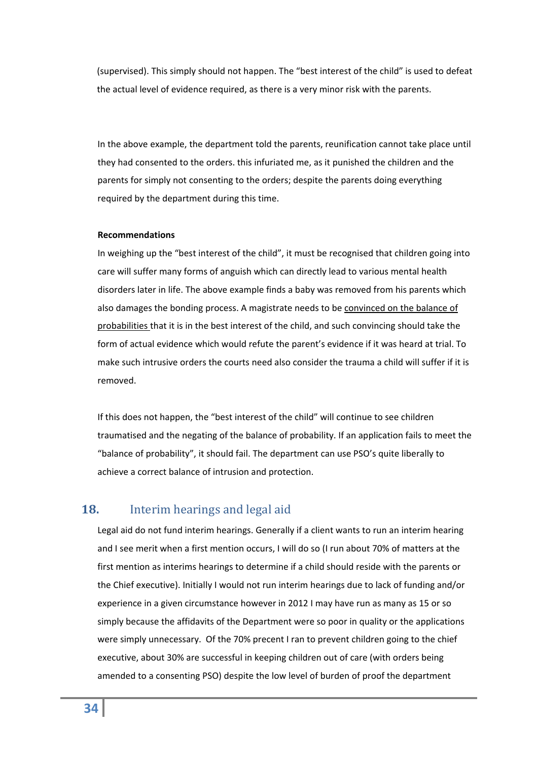(supervised). This simply should not happen. The "best interest of the child" is used to defeat the actual level of evidence required, as there is a very minor risk with the parents.

In the above example, the department told the parents, reunification cannot take place until they had consented to the orders. this infuriated me, as it punished the children and the parents for simply not consenting to the orders; despite the parents doing everything required by the department during this time.

#### **Recommendations**

In weighing up the "best interest of the child", it must be recognised that children going into care will suffer many forms of anguish which can directly lead to various mental health disorders later in life. The above example finds a baby was removed from his parents which also damages the bonding process. A magistrate needs to be convinced on the balance of probabilities that it is in the best interest of the child, and such convincing should take the form of actual evidence which would refute the parent's evidence if it was heard at trial. To make such intrusive orders the courts need also consider the trauma a child will suffer if it is removed.

If this does not happen, the "best interest of the child" will continue to see children traumatised and the negating of the balance of probability. If an application fails to meet the "balance of probability", it should fail. The department can use PSO's quite liberally to achieve a correct balance of intrusion and protection.

# <span id="page-33-0"></span>**18.** Interim hearings and legal aid

Legal aid do not fund interim hearings. Generally if a client wants to run an interim hearing and I see merit when a first mention occurs, I will do so (I run about 70% of matters at the first mention as interims hearings to determine if a child should reside with the parents or the Chief executive). Initially I would not run interim hearings due to lack of funding and/or experience in a given circumstance however in 2012 I may have run as many as 15 or so simply because the affidavits of the Department were so poor in quality or the applications were simply unnecessary. Of the 70% precent I ran to prevent children going to the chief executive, about 30% are successful in keeping children out of care (with orders being amended to a consenting PSO) despite the low level of burden of proof the department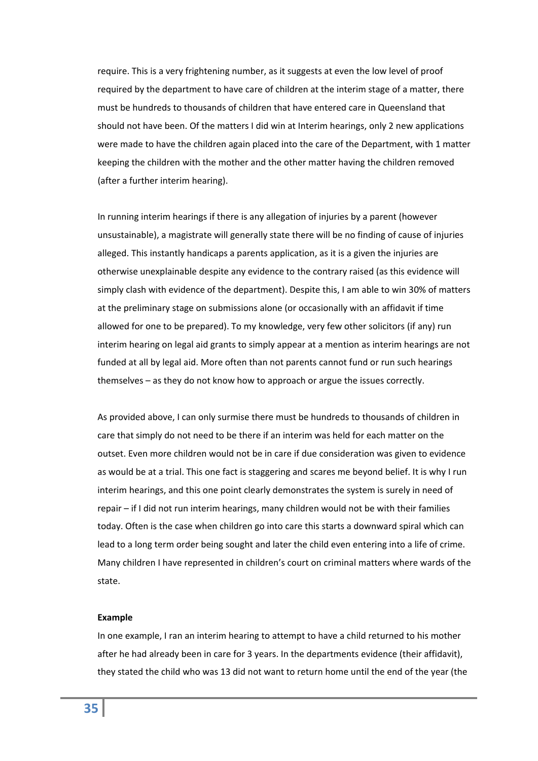require. This is a very frightening number, as it suggests at even the low level of proof required by the department to have care of children at the interim stage of a matter, there must be hundreds to thousands of children that have entered care in Queensland that should not have been. Of the matters I did win at Interim hearings, only 2 new applications were made to have the children again placed into the care of the Department, with 1 matter keeping the children with the mother and the other matter having the children removed (after a further interim hearing).

In running interim hearings if there is any allegation of injuries by a parent (however unsustainable), a magistrate will generally state there will be no finding of cause of injuries alleged. This instantly handicaps a parents application, as it is a given the injuries are otherwise unexplainable despite any evidence to the contrary raised (as this evidence will simply clash with evidence of the department). Despite this, I am able to win 30% of matters at the preliminary stage on submissions alone (or occasionally with an affidavit if time allowed for one to be prepared). To my knowledge, very few other solicitors (if any) run interim hearing on legal aid grants to simply appear at a mention as interim hearings are not funded at all by legal aid. More often than not parents cannot fund or run such hearings themselves – as they do not know how to approach or argue the issues correctly.

As provided above, I can only surmise there must be hundreds to thousands of children in care that simply do not need to be there if an interim was held for each matter on the outset. Even more children would not be in care if due consideration was given to evidence as would be at a trial. This one fact is staggering and scares me beyond belief. It is why I run interim hearings, and this one point clearly demonstrates the system is surely in need of repair – if I did not run interim hearings, many children would not be with their families today. Often is the case when children go into care this starts a downward spiral which can lead to a long term order being sought and later the child even entering into a life of crime. Many children I have represented in children's court on criminal matters where wards of the state.

#### **Example**

In one example, I ran an interim hearing to attempt to have a child returned to his mother after he had already been in care for 3 years. In the departments evidence (their affidavit), they stated the child who was 13 did not want to return home until the end of the year (the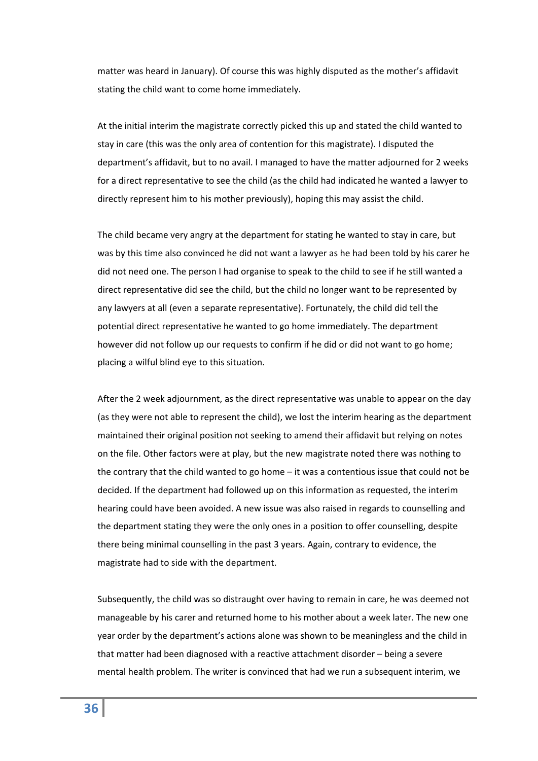matter was heard in January). Of course this was highly disputed as the mother's affidavit stating the child want to come home immediately.

At the initial interim the magistrate correctly picked this up and stated the child wanted to stay in care (this was the only area of contention for this magistrate). I disputed the department's affidavit, but to no avail. I managed to have the matter adjourned for 2 weeks for a direct representative to see the child (as the child had indicated he wanted a lawyer to directly represent him to his mother previously), hoping this may assist the child.

The child became very angry at the department for stating he wanted to stay in care, but was by this time also convinced he did not want a lawyer as he had been told by his carer he did not need one. The person I had organise to speak to the child to see if he still wanted a direct representative did see the child, but the child no longer want to be represented by any lawyers at all (even a separate representative). Fortunately, the child did tell the potential direct representative he wanted to go home immediately. The department however did not follow up our requests to confirm if he did or did not want to go home; placing a wilful blind eye to this situation.

After the 2 week adjournment, as the direct representative was unable to appear on the day (as they were not able to represent the child), we lost the interim hearing as the department maintained their original position not seeking to amend their affidavit but relying on notes on the file. Other factors were at play, but the new magistrate noted there was nothing to the contrary that the child wanted to go home – it was a contentious issue that could not be decided. If the department had followed up on this information as requested, the interim hearing could have been avoided. A new issue was also raised in regards to counselling and the department stating they were the only ones in a position to offer counselling, despite there being minimal counselling in the past 3 years. Again, contrary to evidence, the magistrate had to side with the department.

Subsequently, the child was so distraught over having to remain in care, he was deemed not manageable by his carer and returned home to his mother about a week later. The new one year order by the department's actions alone was shown to be meaningless and the child in that matter had been diagnosed with a reactive attachment disorder – being a severe mental health problem. The writer is convinced that had we run a subsequent interim, we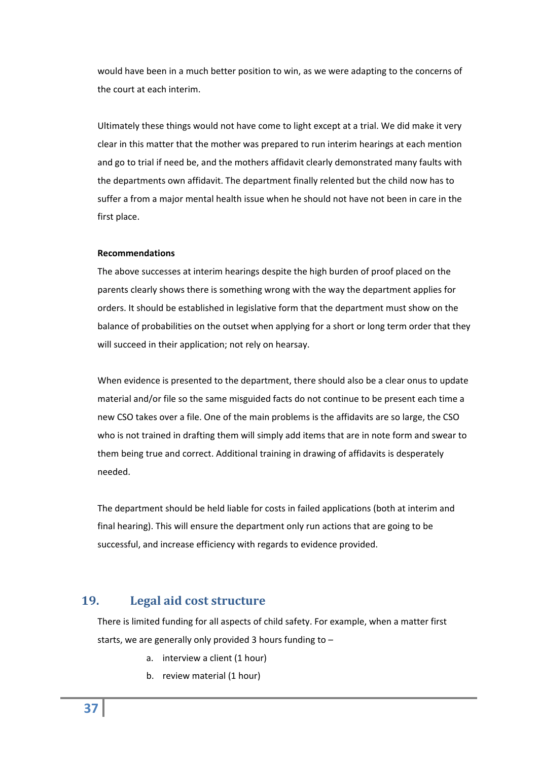would have been in a much better position to win, as we were adapting to the concerns of the court at each interim.

Ultimately these things would not have come to light except at a trial. We did make it very clear in this matter that the mother was prepared to run interim hearings at each mention and go to trial if need be, and the mothers affidavit clearly demonstrated many faults with the departments own affidavit. The department finally relented but the child now has to suffer a from a major mental health issue when he should not have not been in care in the first place.

#### **Recommendations**

The above successes at interim hearings despite the high burden of proof placed on the parents clearly shows there is something wrong with the way the department applies for orders. It should be established in legislative form that the department must show on the balance of probabilities on the outset when applying for a short or long term order that they will succeed in their application; not rely on hearsay.

When evidence is presented to the department, there should also be a clear onus to update material and/or file so the same misguided facts do not continue to be present each time a new CSO takes over a file. One of the main problems is the affidavits are so large, the CSO who is not trained in drafting them will simply add items that are in note form and swear to them being true and correct. Additional training in drawing of affidavits is desperately needed.

The department should be held liable for costs in failed applications (both at interim and final hearing). This will ensure the department only run actions that are going to be successful, and increase efficiency with regards to evidence provided.

## <span id="page-36-0"></span>**19. Legal aid cost structure**

There is limited funding for all aspects of child safety. For example, when a matter first starts, we are generally only provided 3 hours funding to –

- a. interview a client (1 hour)
- b. review material (1 hour)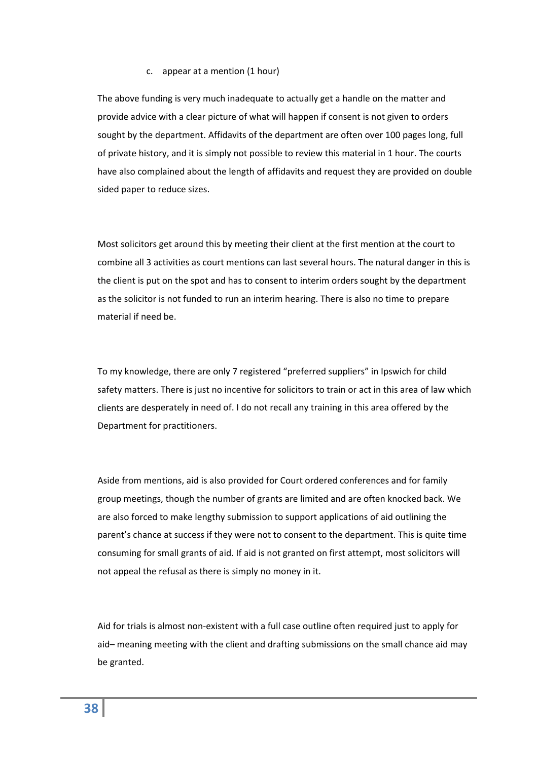#### c. appear at a mention (1 hour)

The above funding is very much inadequate to actually get a handle on the matter and provide advice with a clear picture of what will happen if consent is not given to orders sought by the department. Affidavits of the department are often over 100 pages long, full of private history, and it is simply not possible to review this material in 1 hour. The courts have also complained about the length of affidavits and request they are provided on double sided paper to reduce sizes.

Most solicitors get around this by meeting their client at the first mention at the court to combine all 3 activities as court mentions can last several hours. The natural danger in this is the client is put on the spot and has to consent to interim orders sought by the department as the solicitor is not funded to run an interim hearing. There is also no time to prepare material if need be.

To my knowledge, there are only 7 registered "preferred suppliers" in Ipswich for child safety matters. There is just no incentive for solicitors to train or act in this area of law which clients are desperately in need of. I do not recall any training in this area offered by the Department for practitioners.

Aside from mentions, aid is also provided for Court ordered conferences and for family group meetings, though the number of grants are limited and are often knocked back. We are also forced to make lengthy submission to support applications of aid outlining the parent's chance at success if they were not to consent to the department. This is quite time consuming for small grants of aid. If aid is not granted on first attempt, most solicitors will not appeal the refusal as there is simply no money in it.

Aid for trials is almost non‐existent with a full case outline often required just to apply for aid– meaning meeting with the client and drafting submissions on the small chance aid may be granted.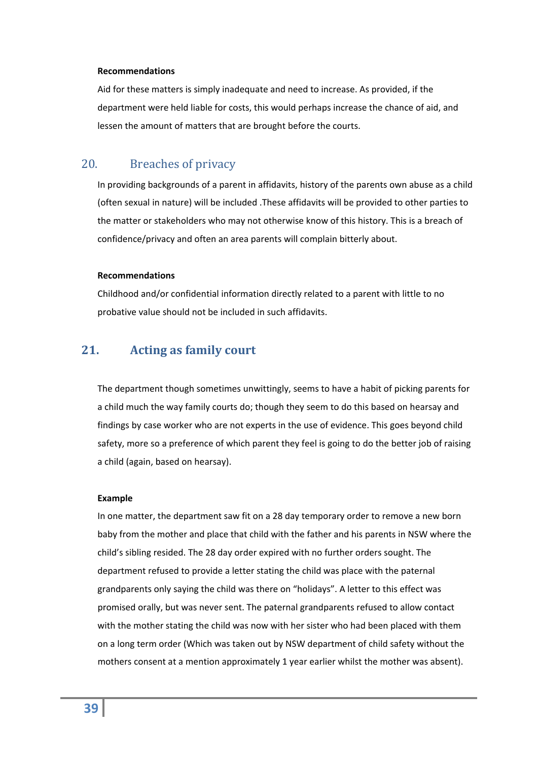#### **Recommendations**

Aid for these matters is simply inadequate and need to increase. As provided, if the department were held liable for costs, this would perhaps increase the chance of aid, and lessen the amount of matters that are brought before the courts.

# <span id="page-38-0"></span>20. Breaches of privacy

In providing backgrounds of a parent in affidavits, history of the parents own abuse as a child (often sexual in nature) will be included .These affidavits will be provided to other parties to the matter or stakeholders who may not otherwise know of this history. This is a breach of confidence/privacy and often an area parents will complain bitterly about.

#### **Recommendations**

Childhood and/or confidential information directly related to a parent with little to no probative value should not be included in such affidavits.

# <span id="page-38-1"></span>**21. Acting as family court**

The department though sometimes unwittingly, seems to have a habit of picking parents for a child much the way family courts do; though they seem to do this based on hearsay and findings by case worker who are not experts in the use of evidence. This goes beyond child safety, more so a preference of which parent they feel is going to do the better job of raising a child (again, based on hearsay).

#### **Example**

In one matter, the department saw fit on a 28 day temporary order to remove a new born baby from the mother and place that child with the father and his parents in NSW where the child's sibling resided. The 28 day order expired with no further orders sought. The department refused to provide a letter stating the child was place with the paternal grandparents only saying the child was there on "holidays". A letter to this effect was promised orally, but was never sent. The paternal grandparents refused to allow contact with the mother stating the child was now with her sister who had been placed with them on a long term order (Which was taken out by NSW department of child safety without the mothers consent at a mention approximately 1 year earlier whilst the mother was absent).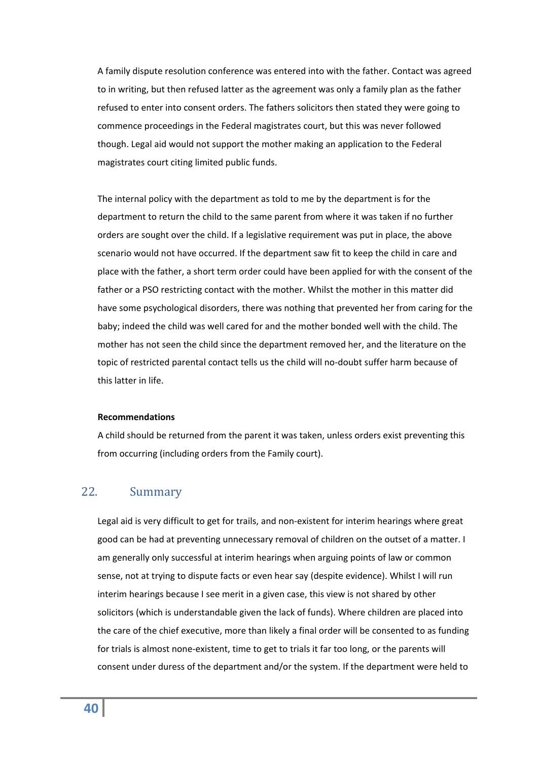A family dispute resolution conference was entered into with the father. Contact was agreed to in writing, but then refused latter as the agreement was only a family plan as the father refused to enter into consent orders. The fathers solicitors then stated they were going to commence proceedings in the Federal magistrates court, but this was never followed though. Legal aid would not support the mother making an application to the Federal magistrates court citing limited public funds.

The internal policy with the department as told to me by the department is for the department to return the child to the same parent from where it was taken if no further orders are sought over the child. If a legislative requirement was put in place, the above scenario would not have occurred. If the department saw fit to keep the child in care and place with the father, a short term order could have been applied for with the consent of the father or a PSO restricting contact with the mother. Whilst the mother in this matter did have some psychological disorders, there was nothing that prevented her from caring for the baby; indeed the child was well cared for and the mother bonded well with the child. The mother has not seen the child since the department removed her, and the literature on the topic of restricted parental contact tells us the child will no‐doubt suffer harm because of this latter in life.

#### **Recommendations**

A child should be returned from the parent it was taken, unless orders exist preventing this from occurring (including orders from the Family court).

# <span id="page-39-0"></span>22. Summary

Legal aid is very difficult to get for trails, and non-existent for interim hearings where great good can be had at preventing unnecessary removal of children on the outset of a matter. I am generally only successful at interim hearings when arguing points of law or common sense, not at trying to dispute facts or even hear say (despite evidence). Whilst I will run interim hearings because I see merit in a given case, this view is not shared by other solicitors (which is understandable given the lack of funds). Where children are placed into the care of the chief executive, more than likely a final order will be consented to as funding for trials is almost none‐existent, time to get to trials it far too long, or the parents will consent under duress of the department and/or the system. If the department were held to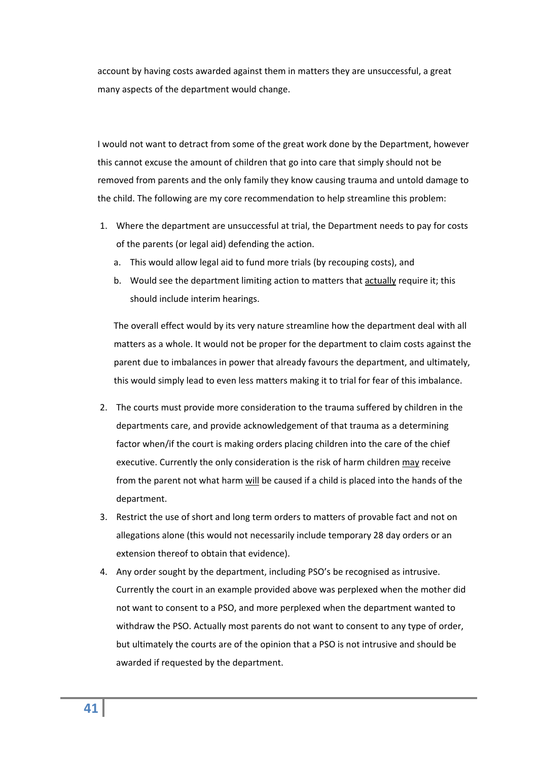account by having costs awarded against them in matters they are unsuccessful, a great many aspects of the department would change.

I would not want to detract from some of the great work done by the Department, however this cannot excuse the amount of children that go into care that simply should not be removed from parents and the only family they know causing trauma and untold damage to the child. The following are my core recommendation to help streamline this problem:

- 1. Where the department are unsuccessful at trial, the Department needs to pay for costs of the parents (or legal aid) defending the action.
	- a. This would allow legal aid to fund more trials (by recouping costs), and
	- b. Would see the department limiting action to matters that actually require it; this should include interim hearings.

The overall effect would by its very nature streamline how the department deal with all matters as a whole. It would not be proper for the department to claim costs against the parent due to imbalances in power that already favours the department, and ultimately, this would simply lead to even less matters making it to trial for fear of this imbalance.

- 2. The courts must provide more consideration to the trauma suffered by children in the departments care, and provide acknowledgement of that trauma as a determining factor when/if the court is making orders placing children into the care of the chief executive. Currently the only consideration is the risk of harm children may receive from the parent not what harm will be caused if a child is placed into the hands of the department.
- 3. Restrict the use of short and long term orders to matters of provable fact and not on allegations alone (this would not necessarily include temporary 28 day orders or an extension thereof to obtain that evidence).
- 4. Any order sought by the department, including PSO's be recognised as intrusive. Currently the court in an example provided above was perplexed when the mother did not want to consent to a PSO, and more perplexed when the department wanted to withdraw the PSO. Actually most parents do not want to consent to any type of order, but ultimately the courts are of the opinion that a PSO is not intrusive and should be awarded if requested by the department.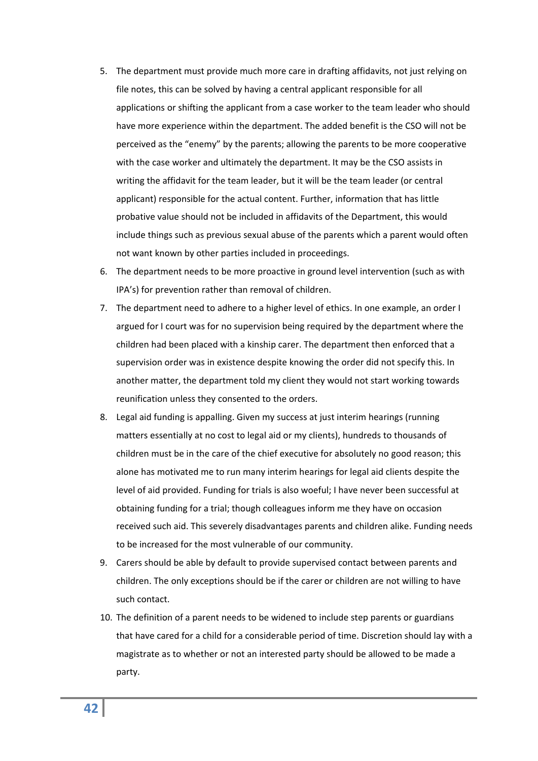- 5. The department must provide much more care in drafting affidavits, not just relying on file notes, this can be solved by having a central applicant responsible for all applications or shifting the applicant from a case worker to the team leader who should have more experience within the department. The added benefit is the CSO will not be perceived as the "enemy" by the parents; allowing the parents to be more cooperative with the case worker and ultimately the department. It may be the CSO assists in writing the affidavit for the team leader, but it will be the team leader (or central applicant) responsible for the actual content. Further, information that has little probative value should not be included in affidavits of the Department, this would include things such as previous sexual abuse of the parents which a parent would often not want known by other parties included in proceedings.
- 6. The department needs to be more proactive in ground level intervention (such as with IPA's) for prevention rather than removal of children.
- 7. The department need to adhere to a higher level of ethics. In one example, an order I argued for I court was for no supervision being required by the department where the children had been placed with a kinship carer. The department then enforced that a supervision order was in existence despite knowing the order did not specify this. In another matter, the department told my client they would not start working towards reunification unless they consented to the orders.
- 8. Legal aid funding is appalling. Given my success at just interim hearings (running matters essentially at no cost to legal aid or my clients), hundreds to thousands of children must be in the care of the chief executive for absolutely no good reason; this alone has motivated me to run many interim hearings for legal aid clients despite the level of aid provided. Funding for trials is also woeful; I have never been successful at obtaining funding for a trial; though colleagues inform me they have on occasion received such aid. This severely disadvantages parents and children alike. Funding needs to be increased for the most vulnerable of our community.
- 9. Carers should be able by default to provide supervised contact between parents and children. The only exceptions should be if the carer or children are not willing to have such contact.
- 10. The definition of a parent needs to be widened to include step parents or guardians that have cared for a child for a considerable period of time. Discretion should lay with a magistrate as to whether or not an interested party should be allowed to be made a party.